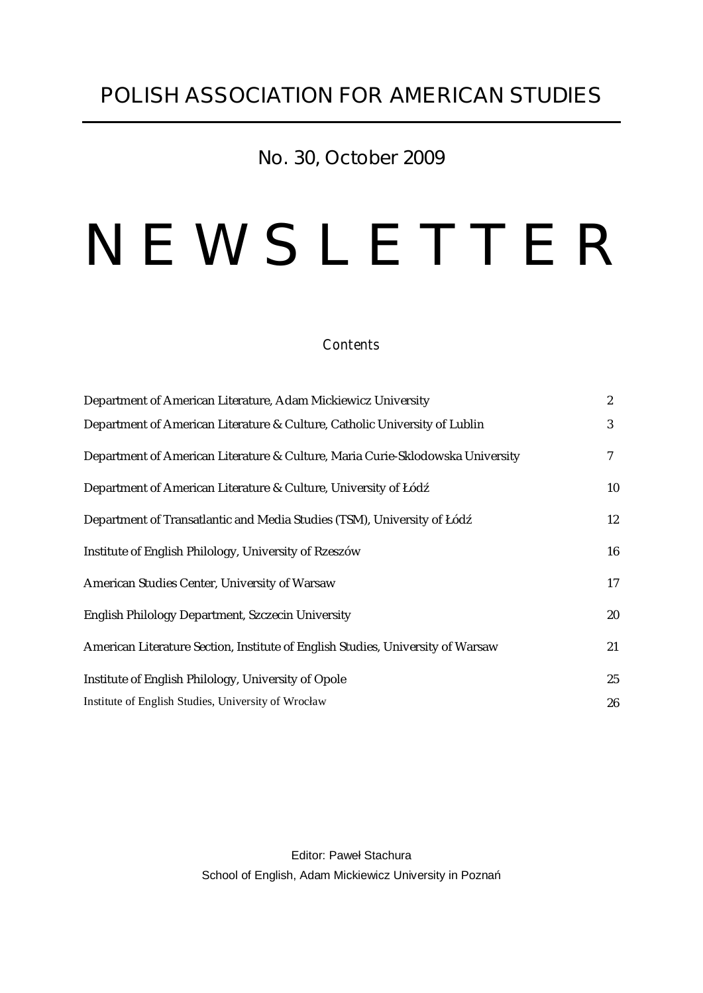# **No. 30, October 2009**

# *N E W S L E T T E R*

#### *Contents*

| Department of American Literature, Adam Mickiewicz University                   | $\boldsymbol{2}$ |
|---------------------------------------------------------------------------------|------------------|
| Department of American Literature & Culture, Catholic University of Lublin      | 3                |
| Department of American Literature & Culture, Maria Curie-Sklodowska University  | 7                |
| Department of American Literature & Culture, University of Łód                  | 10               |
| Department of Transatlantic and Media Studies (TSM), University of Łód          | 12               |
| Institute of English Philology, University of Rzeszów                           | 16               |
| American Studies Center, University of Warsaw                                   | 17               |
| English Philology Department, Szczecin University                               | 20               |
| American Literature Section, Institute of English Studies, University of Warsaw | 21               |
| Institute of English Philology, University of Opole                             | 25               |
| Institute of English Studies, University of Wrocław                             | 26               |

Editor: Paweł Stachura School of English, Adam Mickiewicz University in Pozna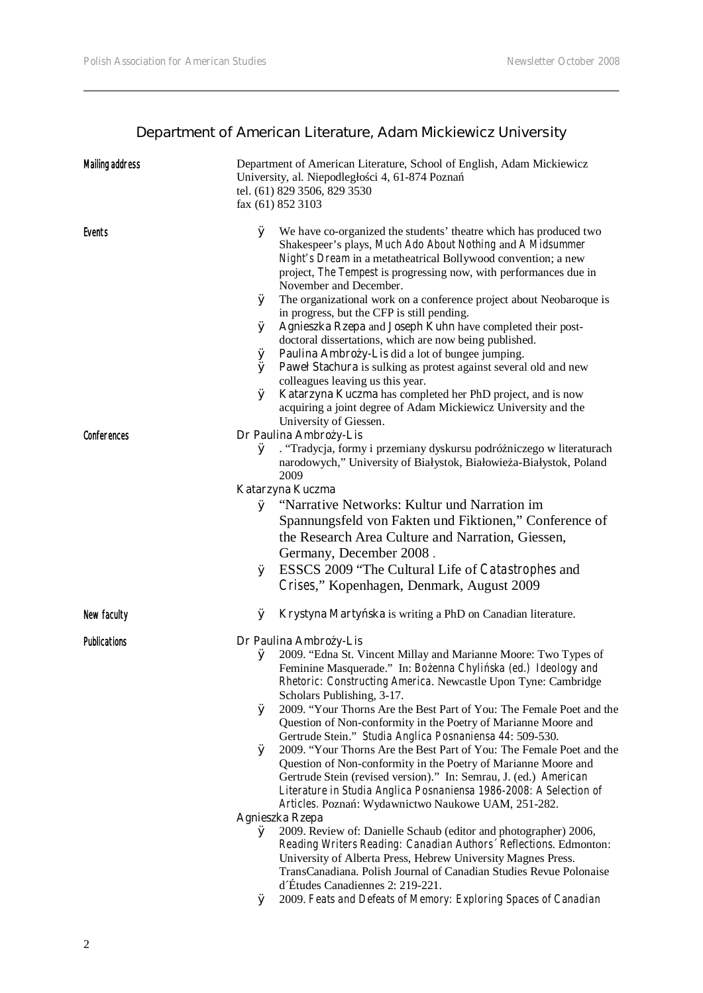# **Department of American Literature, Adam Mickiewicz University**

| <b>Mailing address</b> | Department of American Literature, School of English, Adam Mickiewicz<br>University, al. Niepodległo ci 4, 61-874 Pozna<br>tel. (61) 829 3506, 829 3530<br>fax (61) 852 3103                                                                                                                                                                                                                                                                                                                                                                                                                                                                                                                                                                                                                                                                                                                                                                                                                                                                                                                                                                                                                                                                  |
|------------------------|-----------------------------------------------------------------------------------------------------------------------------------------------------------------------------------------------------------------------------------------------------------------------------------------------------------------------------------------------------------------------------------------------------------------------------------------------------------------------------------------------------------------------------------------------------------------------------------------------------------------------------------------------------------------------------------------------------------------------------------------------------------------------------------------------------------------------------------------------------------------------------------------------------------------------------------------------------------------------------------------------------------------------------------------------------------------------------------------------------------------------------------------------------------------------------------------------------------------------------------------------|
| <b>Events</b>          | Ø<br>We have co-organized the students' theatre which has produced two<br>Shakespeer's plays, Much Ado About Nothing and A Midsummer<br>Night's Dream in a metatheatrical Bollywood convention; a new<br>project, The Tempest is progressing now, with performances due in<br>November and December.<br>Ø The organizational work on a conference project about Neobaroque is<br>in progress, but the CFP is still pending.<br>Ø Agnieszka Rzepa and Joseph Kuhn have completed their post-<br>doctoral dissertations, which are now being published.<br>$\emptyset$ <b>Paulina Ambro y-Lis</b> did a lot of bungee jumping.<br>$\emptyset$ <b>Pawel Stachura</b> is sulking as protest against several old and new<br>colleagues leaving us this year.<br>$\emptyset$ Katarzyna Kuczma has completed her PhD project, and is now<br>acquiring a joint degree of Adam Mickiewicz University and the<br>University of Giessen.                                                                                                                                                                                                                                                                                                                 |
| <b>Conferences</b>     | Dr Paulina Ambro y-Lis                                                                                                                                                                                                                                                                                                                                                                                                                                                                                                                                                                                                                                                                                                                                                                                                                                                                                                                                                                                                                                                                                                                                                                                                                        |
|                        | . "Tradycja, formy i przemiany dyskursu podró niczego w literaturach<br>Ø<br>narodowych," University of Białystok, Białowie a-Białystok, Poland<br>2009                                                                                                                                                                                                                                                                                                                                                                                                                                                                                                                                                                                                                                                                                                                                                                                                                                                                                                                                                                                                                                                                                       |
|                        | Katarzyna Kuczma                                                                                                                                                                                                                                                                                                                                                                                                                                                                                                                                                                                                                                                                                                                                                                                                                                                                                                                                                                                                                                                                                                                                                                                                                              |
|                        | Ø "Narrative Networks: Kultur und Narration im<br>Spannungsfeld von Fakten und Fiktionen," Conference of<br>the Research Area Culture and Narration, Giessen,<br>Germany, December 2008.<br>ESSCS 2009 "The Cultural Life of Catastrophes and<br>Ø<br>Crises," Kopenhagen, Denmark, August 2009                                                                                                                                                                                                                                                                                                                                                                                                                                                                                                                                                                                                                                                                                                                                                                                                                                                                                                                                               |
| New faculty            | Krystyna Marty ska is writing a PhD on Canadian literature.<br>Ø                                                                                                                                                                                                                                                                                                                                                                                                                                                                                                                                                                                                                                                                                                                                                                                                                                                                                                                                                                                                                                                                                                                                                                              |
| <b>Publications</b>    | Dr Paulina Ambro y-Lis<br>2009. "Edna St. Vincent Millay and Marianne Moore: Two Types of<br>Ø<br>Feminine Masquerade." In: Bo enna Chyli ska (ed.) Ideology and<br>Rhetoric: Constructing America. Newcastle Upon Tyne: Cambridge<br>Scholars Publishing, 3-17.<br>2009. "Your Thorns Are the Best Part of You: The Female Poet and the<br>Ø<br>Question of Non-conformity in the Poetry of Marianne Moore and<br>Gertrude Stein." Studia Anglica Posnaniensa 44: 509-530.<br>2009. "Your Thorns Are the Best Part of You: The Female Poet and the<br>Ø<br>Question of Non-conformity in the Poetry of Marianne Moore and<br>Gertrude Stein (revised version)." In: Semrau, J. (ed.) American<br>Literature in Studia Anglica Posnaniensa 1986-2008: A Selection of<br>Articles. Pozna: Wydawnictwo Naukowe UAM, 251-282.<br>Agnieszka Rzepa<br>2009. Review of: Danielle Schaub (editor and photographer) 2006,<br>Ø<br>Reading Writers Reading: Canadian Authors' Reflections. Edmonton:<br>University of Alberta Press, Hebrew University Magnes Press.<br>TransCanadiana. Polish Journal of Canadian Studies Revue Polonaise<br>d'Études Canadiennes 2: 219-221.<br>2009. Feats and Defeats of Memory: Exploring Spaces of Canadian<br>Ø |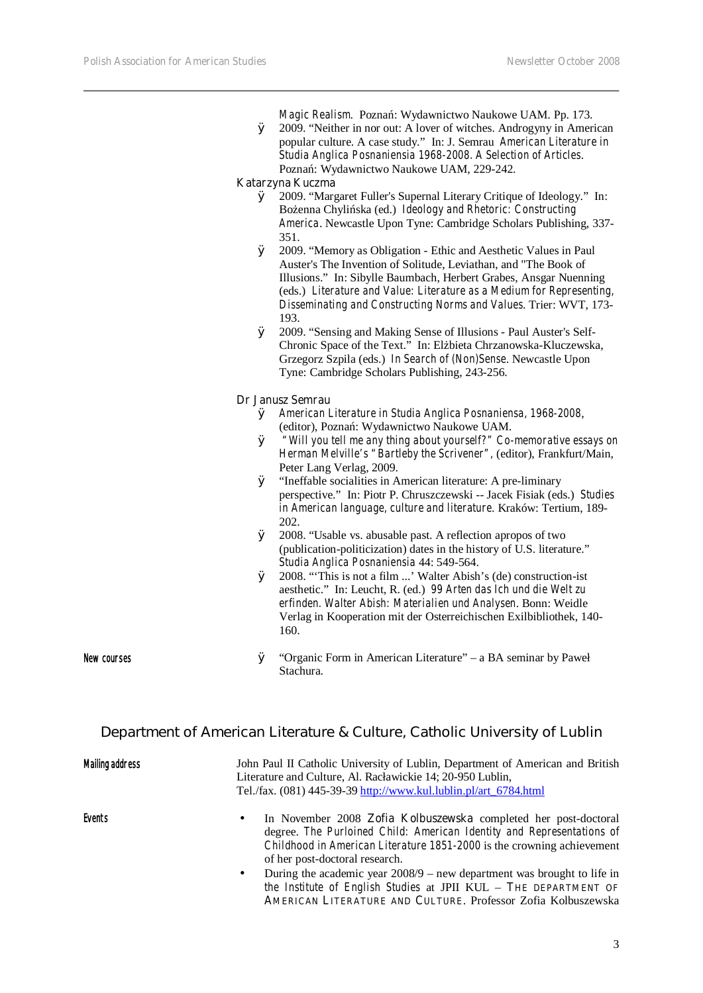Ø 2009. "Neither in nor out: A lover of witches. Androgyny in American popular culture. A case study." In: J. Semrau *American Literature in Studia Anglica Posnaniensia 1968-2008. A Selection of Articles*. Pozna: Wydawnictwo Naukowe UAM, 229-242.

#### **Katarzyna Kuczma**

- Ø 2009. "Margaret Fuller's Supernal Literary Critique of Ideology." In: Bo enna Chyli ska (ed.) *Ideology and Rhetoric: Constructing America*. Newcastle Upon Tyne: Cambridge Scholars Publishing, 337- 351.
- Ø 2009. "Memory as Obligation Ethic and Aesthetic Values in Paul Auster's The Invention of Solitude, Leviathan, and "The Book of Illusions." In: Sibylle Baumbach, Herbert Grabes, Ansgar Nuenning (eds.) *Literature and Value: Literature as a Medium for Representing, Disseminating and Constructing Norms and Values*. Trier: WVT, 173- 193.
- Ø 2009. "Sensing and Making Sense of Illusions Paul Auster's Self-Chronic Space of the Text." In: El bieta Chrzanowska-Kluczewska, Grzegorz Szpila (eds.) *In Search of (Non)Sense*. Newcastle Upon Tyne: Cambridge Scholars Publishing, 243-256.

#### **Dr Janusz Semrau**

- Ø *American Literature in Studia Anglica Posnaniensa, 1968-2008*, (editor), Pozna: Wydawnictwo Naukowe UAM.
- Ø *"Will you tell me any thing about yourself?" Co-memorative essays on Herman Melville's "Bartleby the Scrivener",* (editor), Frankfurt/Main, Peter Lang Verlag, 2009.
- Ø "Ineffable socialities in American literature: A pre-liminary perspective." In: Piotr P. Chruszczewski -- Jacek Fisiak (eds.) *Studies in American language, culture and literature*. Kraków: Tertium, 189- 202.
- Ø 2008. "Usable vs. abusable past. A reflection apropos of two (publication-politicization) dates in the history of U.S. literature." *Studia Anglica Posnaniensia* 44: 549-564.
- Ø 2008. "'This is not a film ...' Walter Abish's (de) construction-ist aesthetic." In: Leucht, R. (ed.) *99 Arten das Ich und die Welt zu erfinden. Walter Abish: Materialien und Analysen*. Bonn: Weidle Verlag in Kooperation mit der Osterreichischen Exilbibliothek, 140- 160.

New courses Ø "Organic Form in American Literature" – a BA seminar by Paweł Stachura.

**AMERICAN LITERATURE AND CULTURE**. Professor Zofia Kolbuszewska

#### **Department of American Literature & Culture, Catholic University of Lublin**

| <b>Mailing address</b> | John Paul II Catholic University of Lublin, Department of American and British<br>Literature and Culture, Al. Racławickie 14; 20-950 Lublin,<br>Tel./fax. (081) 445-39-39 http://www.kul.lublin.pl/art_6784.html                                                         |
|------------------------|--------------------------------------------------------------------------------------------------------------------------------------------------------------------------------------------------------------------------------------------------------------------------|
| <b>Events</b>          | In November 2008 <b>Zofia Kolbuszewska</b> completed her post-doctoral<br>$\bullet$<br>degree. The Purloined Child: American Identity and Representations of<br>Childhood in American Literature 1851-2000 is the crowning achievement<br>of her post-doctoral research. |
|                        | During the academic year $2008/9$ – new department was brought to life in<br>$\bullet$<br>the Institute of English Studies at JPII KUL - THE DEPARTMENT OF                                                                                                               |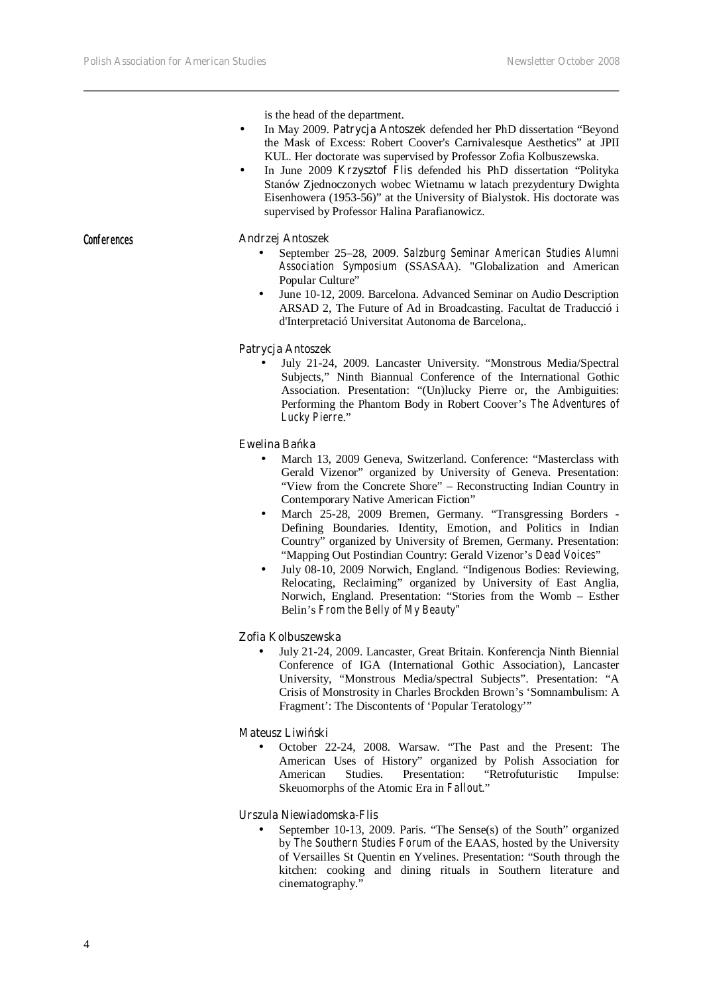is the head of the department.

- In May 2009. **Patrycja Antoszek** defended her PhD dissertation "Beyond the Mask of Excess: Robert Coover's Carnivalesque Aesthetics" at JPII KUL. Her doctorate was supervised by Professor Zofia Kolbuszewska.
- In June 2009 **Krzysztof Flis** defended his PhD dissertation "Polityka Stanów Zjednoczonych wobec Wietnamu w latach prezydentury Dwighta Eisenhowera (1953-56)" at the University of Bialystok. His doctorate was supervised by Professor Halina Parafianowicz.

#### Conferences **Andrzej Antoszek**

- September 25–28, 2009. *Salzburg Seminar American Studies Alumni Association Symposium* (SSASAA). "Globalization and American Popular Culture"
- June 10-12, 2009. Barcelona. Advanced Seminar on Audio Description ARSAD 2, The Future of Ad in Broadcasting. Facultat de Traducció i d'Interpretació Universitat Autonoma de Barcelona,.

#### **Patrycja Antoszek**

• July 21-24, 2009. Lancaster University. "Monstrous Media/Spectral Subjects," Ninth Biannual Conference of the International Gothic Association. Presentation: "(Un)lucky Pierre or, the Ambiguities: Performing the Phantom Body in Robert Coover's *The Adventures of Lucky Pierre*."

#### **Ewelina Ba** ka

- March 13, 2009 Geneva, Switzerland. Conference: "Masterclass with Gerald Vizenor" organized by University of Geneva. Presentation: "View from the Concrete Shore" – Reconstructing Indian Country in Contemporary Native American Fiction"
- March 25-28, 2009 Bremen, Germany. "Transgressing Borders Defining Boundaries. Identity, Emotion, and Politics in Indian Country" organized by University of Bremen, Germany. Presentation: "Mapping Out Postindian Country: Gerald Vizenor's *Dead Voices*"
- July 08-10, 2009 Norwich, England. "Indigenous Bodies: Reviewing, Relocating, Reclaiming" organized by University of East Anglia, Norwich, England. Presentation: "Stories from the Womb – Esther Belin's *From the Belly of My Beauty"*

#### **Zofia Kolbuszewska**

• July 21-24, 2009. Lancaster, Great Britain. Konferencja Ninth Biennial Conference of IGA (International Gothic Association), Lancaster University, "Monstrous Media/spectral Subjects". Presentation: "A Crisis of Monstrosity in Charles Brockden Brown's 'Somnambulism: A Fragment': The Discontents of 'Popular Teratology'"

#### **Mateusz Liwi**ski

• October 22-24, 2008. Warsaw. "The Past and the Present: The American Uses of History" organized by Polish Association for American Studies. Presentation: "Retrofuturistic Impulse: Skeuomorphs of the Atomic Era in *Fallout*."

#### **Urszula Niewiadomska-Flis**

• September 10-13, 2009. Paris. "The Sense(s) of the South" organized by *The Southern Studies Forum* of the EAAS, hosted by the University of Versailles St Quentin en Yvelines. Presentation: "South through the kitchen: cooking and dining rituals in Southern literature and cinematography."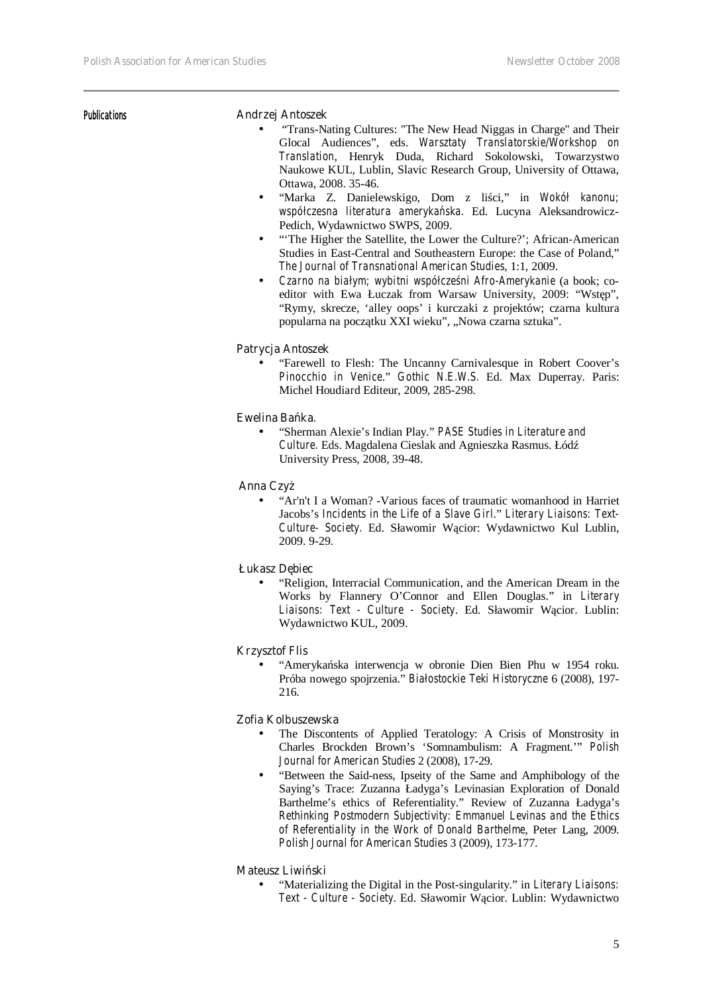#### Publications **Andrzej Antoszek**

- "Trans-Nating Cultures: "The New Head Niggas in Charge" and Their Glocal Audiences", eds. *Warsztaty Translatorskie/Workshop on Translation*, Henryk Duda, Richard Sokolowski, Towarzystwo Naukowe KUL, Lublin, Slavic Research Group, University of Ottawa, Ottawa, 2008. 35-46.
- "Marka Z. Danielewskigo, Dom z lici," in *Wokół kanonu; współczesna literatura amerykańska.* Ed. Lucyna Aleksandrowicz-Pedich, Wydawnictwo SWPS, 2009.
- "The Higher the Satellite, the Lower the Culture?'; African-American Studies in East-Central and Southeastern Europe: the Case of Poland," *The Journal of Transnational American Studies*, 1:1, 2009.
- *Czarno na białym; wybitni współcześni Afro-Amerykanie* (a book; coeditor with Ewa Łuczak from Warsaw University, 2009: "Wst p", "Rymy, skrecze, 'alley oops' i kurczaki z projektów; czarna kultura popularna na pocz tku XXI wieku", "Nowa czarna sztuka".

#### **Patrycja Antoszek**

• "Farewell to Flesh: The Uncanny Carnivalesque in Robert Coover's *Pinocchio in Venice*." *Gothic N.E.W.S.* Ed. Max Duperray. Paris: Michel Houdiard Editeur, 2009, 285-298.

#### **Ewelina Ba** ka.

• "Sherman Alexie's Indian Play." *PASE Studies in Literature and Culture.* Eds. Magdalena Cieslak and Agnieszka Rasmus. Łódź University Press, 2008, 39-48.

#### **Anna Czv**

• "Ar'n't I a Woman? -Various faces of traumatic womanhood in Harriet Jacobs's *Incidents in the Life of a Slave Girl*." *Literary Liaisons: Text-*Culture- Society. Ed. Sławomir W cior: Wydawnictwo Kul Lublin, 2009. 9-29.

#### **Łukasz D** biec

• "Religion, Interracial Communication, and the American Dream in the Works by Flannery O'Connor and Ellen Douglas." in *Literary*  Liaisons: Text - Culture - Society. Ed. Sławomir W cior. Lublin: Wydawnictwo KUL, 2009.

#### **Krzysztof Flis**

• "Amerykańska interwencja w obronie Dien Bien Phu w 1954 roku. Próba nowego spojrzenia." *Białostockie Teki Historyczne* 6 (2008), 197- 216.

#### **Zofia Kolbuszewska**

- The Discontents of Applied Teratology: A Crisis of Monstrosity in Charles Brockden Brown's 'Somnambulism: A Fragment.'" *Polish Journal for American Studies* 2 (2008), 17-29.
- "Between the Said-ness, Ipseity of the Same and Amphibology of the Saying's Trace: Zuzanna Ładyga's Levinasian Exploration of Donald Barthelme's ethics of Referentiality." Review of Zuzanna Ładyga's *Rethinking Postmodern Subjectivity: Emmanuel Levinas and the Ethics of Referentiality in the Work of Donald Barthelme*, Peter Lang, 2009. *Polish Journal for American Studies* 3 (2009), 173-177.

#### **Mateusz Liwi**ski

• "Materializing the Digital in the Post-singularity." in *Literary Liaisons: Text - Culture - Society*. Ed. Sławomir Wącior. Lublin: Wydawnictwo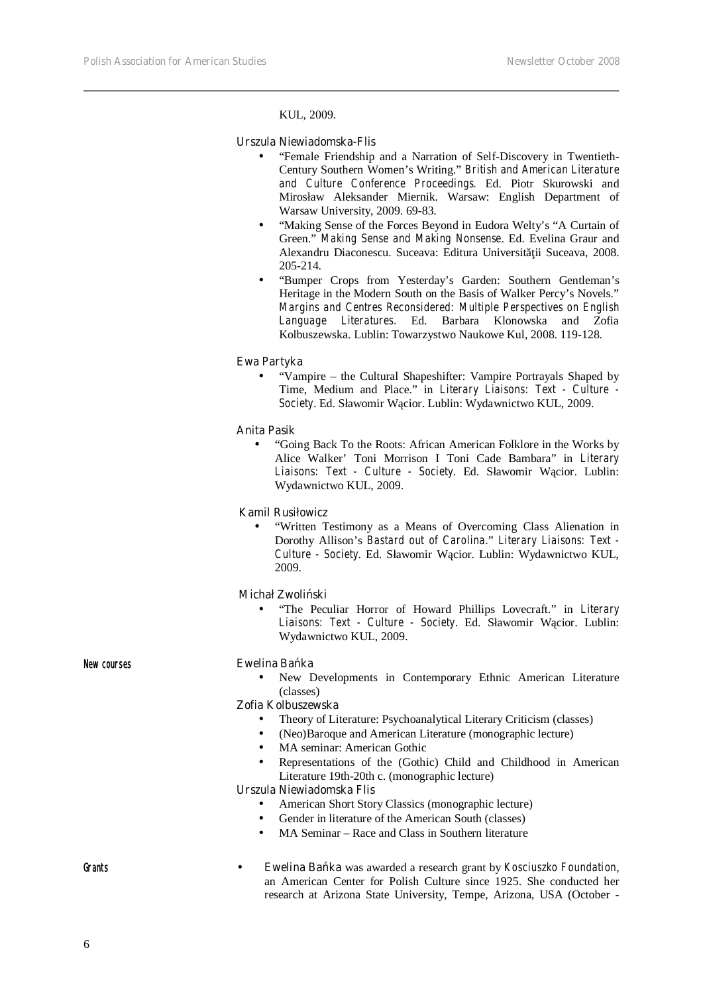KUL, 2009.

#### **Urszula Niewiadomska-Flis**

- "Female Friendship and a Narration of Self-Discovery in Twentieth-Century Southern Women's Writing." *British and American Literature and Culture Conference Proceedings.* Ed. Piotr Skurowski and Mirosław Aleksander Miernik. Warsaw: English Department of Warsaw University, 2009. 69-83.
- "Making Sense of the Forces Beyond in Eudora Welty's "A Curtain of Green." *Making Sense and Making Nonsense*. Ed. Evelina Graur and Alexandru Diaconescu. Suceava: Editura Universit ii Suceava, 2008. 205-214.
- "Bumper Crops from Yesterday's Garden: Southern Gentleman's Heritage in the Modern South on the Basis of Walker Percy's Novels." *Margins and Centres Reconsidered: Multiple Perspectives on English Language Literatures.* Ed. Barbara Klonowska and Zofia Kolbuszewska. Lublin: Towarzystwo Naukowe Kul, 2008. 119-128.

#### **Ewa Partyka**

• "Vampire – the Cultural Shapeshifter: Vampire Portrayals Shaped by Time, Medium and Place." in *Literary Liaisons: Text - Culture - Society*. Ed. Sławomir Wącior. Lublin: Wydawnictwo KUL, 2009.

#### **Anita Pasik**

• "Going Back To the Roots: African American Folklore in the Works by Alice Walker' Toni Morrison I Toni Cade Bambara" in *Literary*  Liaisons: Text - Culture - Society. Ed. Sławomir W cior. Lublin: Wydawnictwo KUL, 2009.

#### **Kamil Rusiłowicz**

• "Written Testimony as a Means of Overcoming Class Alienation in Dorothy Allison's *Bastard out of Carolina.*" *Literary Liaisons: Text - Culture - Society*. Ed. Sławomir Wącior. Lublin: Wydawnictwo KUL, 2009.

#### **Michał Zwoli**ski

• "The Peculiar Horror of Howard Phillips Lovecraft." in *Literary Liaisons: Text - Culture - Society*. Ed. Sławomir Wącior. Lublin: Wydawnictwo KUL, 2009.

| New courses | Ewelina Ba ka                                                                     |
|-------------|-----------------------------------------------------------------------------------|
|             | New Developments in Contemporary Ethnic American Literature<br>٠                  |
|             | (classes)                                                                         |
|             | Zofia Kolbuszewska                                                                |
|             | Theory of Literature: Psychoanalytical Literary Criticism (classes)<br>$\bullet$  |
|             | (Neo)Baroque and American Literature (monographic lecture)<br>٠                   |
|             | MA seminar: American Gothic<br>$\bullet$                                          |
|             | Representations of the (Gothic) Child and Childhood in American<br>٠              |
|             | Literature 19th-20th c. (monographic lecture)                                     |
|             | Urszula Niewiadomska Flis                                                         |
|             | American Short Story Classics (monographic lecture)<br>٠                          |
|             | Gender in literature of the American South (classes)<br>$\bullet$                 |
|             | MA Seminar – Race and Class in Southern literature<br>$\bullet$                   |
|             |                                                                                   |
| Grants      | Ewelina Ba ka was awarded a research grant by Kosciuszko Foundation,<br>$\bullet$ |
|             | an American Center for Polish Culture since 1925. She conducted her               |
|             | research at Arizona State University, Tempe, Arizona, USA (October -              |

6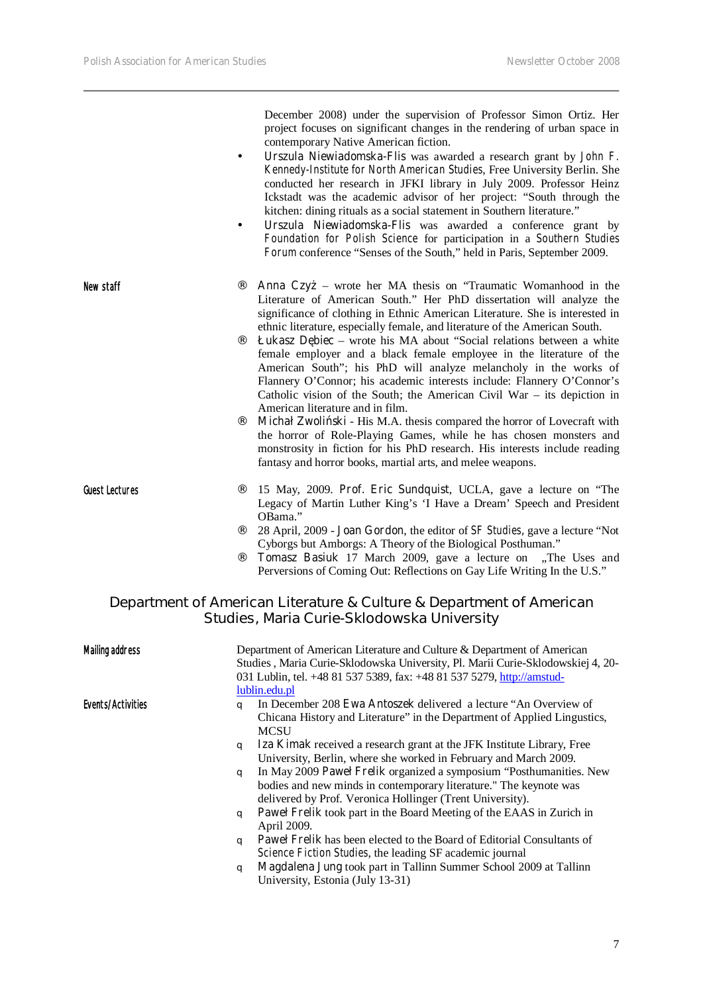December 2008) under the supervision of Professor Simon Ortiz. Her project focuses on significant changes in the rendering of urban space in contemporary Native American fiction.

- **Urszula Niewiadomska-Flis** was awarded a research grant by *John F. Kennedy-Institute for North American Studies*, Free University Berlin. She conducted her research in JFKI library in July 2009. Professor Heinz Ickstadt was the academic advisor of her project: "South through the kitchen: dining rituals as a social statement in Southern literature."
- **Urszula Niewiadomska-Flis** was awarded a conference grant by *Foundation for Polish Science* for participation in a *Southern Studies Forum* conference "Senses of the South," held in Paris, September 2009.
- New staff **Anna Czy** wrote her MA thesis on "Traumatic Womanhood in the Literature of American South." Her PhD dissertation will analyze the significance of clothing in Ethnic American Literature. She is interested in ethnic literature, especially female, and literature of the American South.
	- **Łukasz D biec** wrote his MA about "Social relations between a white female employer and a black female employee in the literature of the American South"; his PhD will analyze melancholy in the works of Flannery O'Connor; his academic interests include: Flannery O'Connor's Catholic vision of the South; the American Civil War – its depiction in American literature and in film.
	- **Michał Zwoli ski** His M.A. thesis compared the horror of Lovecraft with the horror of Role-Playing Games, while he has chosen monsters and monstrosity in fiction for his PhD research. His interests include reading fantasy and horror books, martial arts, and melee weapons.
- Guest Lectures ¨ 15 May, 2009. **Prof. Eric Sundquist**, UCLA, gave a lecture on "The Legacy of Martin Luther King's 'I Have a Dream' Speech and President OBama."
	- ¨ 28 April, 2009 **Joan Gordon**, the editor of *SF Studies***,** gave a lecture "Not Cyborgs but Amborgs: A Theory of the Biological Posthuman."
	- Tomasz Basiuk 17 March 2009, gave a lecture on "The Uses and Perversions of Coming Out: Reflections on Gay Life Writing In the U.S."

#### **Department of American Literature & Culture & Department of American Studies, Maria Curie-Sklodowska University**

| <b>Mailing address</b> | Department of American Literature and Culture & Department of American                                                                                    |
|------------------------|-----------------------------------------------------------------------------------------------------------------------------------------------------------|
|                        | Studies, Maria Curie-Sklodowska University, Pl. Marii Curie-Sklodowskiej 4, 20-<br>031 Lublin, tel. +48 81 537 5389, fax: +48 81 537 5279, http://amstud- |
|                        | lublin.edu.pl                                                                                                                                             |
| Events/Activities      | In December 208 Ewa Antoszek delivered a lecture "An Overview of<br>a                                                                                     |
|                        | Chicana History and Literature" in the Department of Applied Lingustics,                                                                                  |
|                        | <b>MCSU</b>                                                                                                                                               |
|                        | Iza Kimak received a research grant at the JFK Institute Library, Free<br>q                                                                               |
|                        | University, Berlin, where she worked in February and March 2009.                                                                                          |
|                        | In May 2009 Paweł Frelik organized a symposium "Posthumanities. New<br>$\alpha$                                                                           |
|                        | bodies and new minds in contemporary literature." The keynote was                                                                                         |
|                        | delivered by Prof. Veronica Hollinger (Trent University).                                                                                                 |
|                        | <b>Pawel Frelik</b> took part in the Board Meeting of the EAAS in Zurich in<br>q<br>April 2009.                                                           |
|                        | <b>Pawel Frelik</b> has been elected to the Board of Editorial Consultants of<br>q                                                                        |
|                        | <i>Science Fiction Studies, the leading SF academic journal</i>                                                                                           |
|                        | Magdalena Jung took part in Tallinn Summer School 2009 at Tallinn<br>q                                                                                    |
|                        | University, Estonia (July 13-31)                                                                                                                          |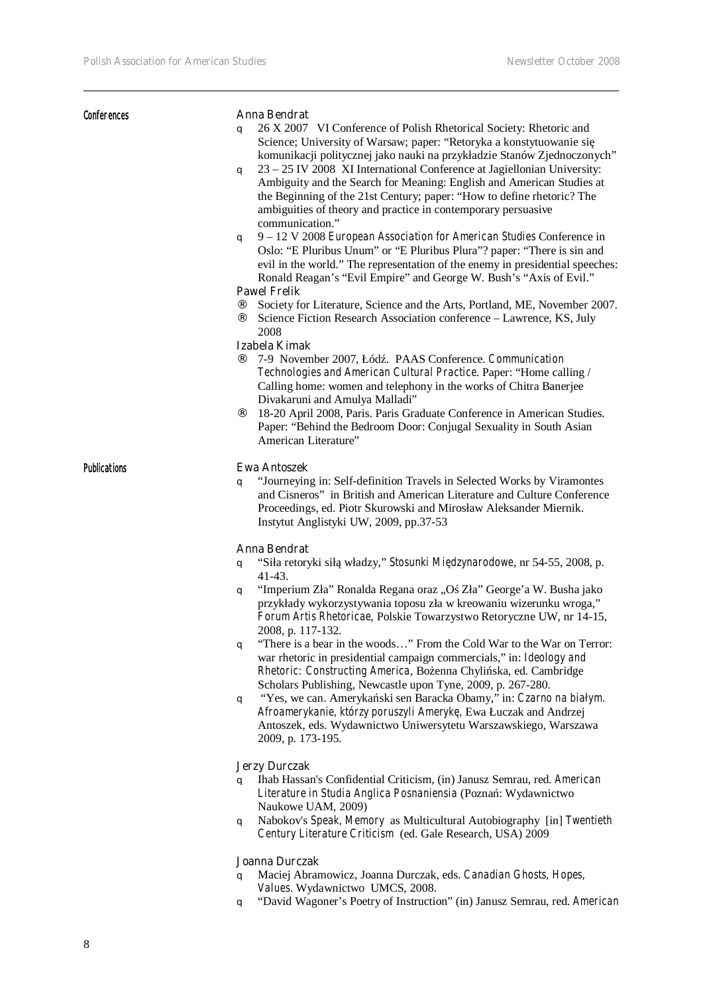| <b>Conferences</b>  | Anna Bendrat<br>26 X 2007 VI Conference of Polish Rhetorical Society: Rhetoric and<br>q<br>Science; University of Warsaw; paper: "Retoryka a konstytuowanie si<br>komunikacji politycznej jako nauki na przykładzie Stanów Zjednoczonych"<br>23 - 25 IV 2008 XI International Conference at Jagiellonian University:<br>q<br>Ambiguity and the Search for Meaning: English and American Studies at<br>the Beginning of the 21st Century; paper: "How to define rhetoric? The<br>ambiguities of theory and practice in contemporary persuasive<br>communication."<br>9 - 12 V 2008 European Association for American Studies Conference in<br>q<br>Oslo: "E Pluribus Unum" or "E Pluribus Plura"? paper: "There is sin and<br>evil in the world." The representation of the enemy in presidential speeches:<br>Ronald Reagan's "Evil Empire" and George W. Bush's "Axis of Evil."<br><b>Pawel Frelik</b><br>Society for Literature, Science and the Arts, Portland, ME, November 2007.<br>$\cdot$<br>Science Fiction Research Association conference - Lawrence, KS, July<br>2008<br>Izabela Kimak<br>7-9 November 2007, Łód. PAAS Conference. Communication<br>Technologies and American Cultural Practice. Paper: "Home calling /<br>Calling home: women and telephony in the works of Chitra Banerjee<br>Divakaruni and Amulya Malladi"<br>$\cdot$ .<br>18-20 April 2008, Paris. Paris Graduate Conference in American Studies.<br>Paper: "Behind the Bedroom Door: Conjugal Sexuality in South Asian |
|---------------------|---------------------------------------------------------------------------------------------------------------------------------------------------------------------------------------------------------------------------------------------------------------------------------------------------------------------------------------------------------------------------------------------------------------------------------------------------------------------------------------------------------------------------------------------------------------------------------------------------------------------------------------------------------------------------------------------------------------------------------------------------------------------------------------------------------------------------------------------------------------------------------------------------------------------------------------------------------------------------------------------------------------------------------------------------------------------------------------------------------------------------------------------------------------------------------------------------------------------------------------------------------------------------------------------------------------------------------------------------------------------------------------------------------------------------------------------------------------------------------------------------------|
| <b>Publications</b> | American Literature"<br><b>Ewa Antoszek</b><br>"Journeying in: Self-definition Travels in Selected Works by Viramontes<br>q<br>and Cisneros" in British and American Literature and Culture Conference<br>Proceedings, ed. Piotr Skurowski and Mirosław Aleksander Miernik.<br>Instytut Anglistyki UW, 2009, pp.37-53                                                                                                                                                                                                                                                                                                                                                                                                                                                                                                                                                                                                                                                                                                                                                                                                                                                                                                                                                                                                                                                                                                                                                                                   |
|                     | <b>Anna Bendrat</b><br>"Siła retoryki sił władzy," Stosunki Mi dzynarodowe, nr 54-55, 2008, p.<br>q<br>$41-43.$<br>"Imperium Zła" Ronalda Regana oraz "O Zła" George'a W. Busha jako<br>q<br>przykłady wykorzystywania toposu zła w kreowaniu wizerunku wroga,"<br>Forum Artis Rhetoricae, Polskie Towarzystwo Retoryczne UW, nr 14-15,<br>2008, p. 117-132.<br>"There is a bear in the woods" From the Cold War to the War on Terror:<br>q<br>war rhetoric in presidential campaign commercials," in: Ideology and<br>Rhetoric: Constructing America, Bo enna Chyli ska, ed. Cambridge<br>Scholars Publishing, Newcastle upon Tyne, 2009, p. 267-280.<br>"Yes, we can. Ameryka ski sen Baracka Obamy," in: Czarno na białym.<br>q<br>Afroamerykanie, którzy poruszyli Ameryk, Ewa Łuczak and Andrzej<br>Antoszek, eds. Wydawnictwo Uniwersytetu Warszawskiego, Warszawa<br>2009, p. 173-195.<br><b>Jerzy Durczak</b><br>Ihab Hassan's Confidential Criticism, (in) Janusz Semrau, red. American<br>q                                                                                                                                                                                                                                                                                                                                                                                                                                                                                                   |
|                     | Literature in Studia Anglica Posnaniensia (Pozna: Wydawnictwo                                                                                                                                                                                                                                                                                                                                                                                                                                                                                                                                                                                                                                                                                                                                                                                                                                                                                                                                                                                                                                                                                                                                                                                                                                                                                                                                                                                                                                           |

Naukowe UAM, 2009) q Nabokov's *Speak, Memory* as Multicultural Autobiography [in] *Twentieth Century Literature Criticism* (ed. Gale Research, USA) 2009

#### **Joanna Durczak**

- q Maciej Abramowicz, Joanna Durczak, eds. *Canadian Ghosts, Hopes, Values.* Wydawnictwo UMCS, 2008.
- q "David Wagoner's Poetry of Instruction" (in) Janusz Semrau, red. *American*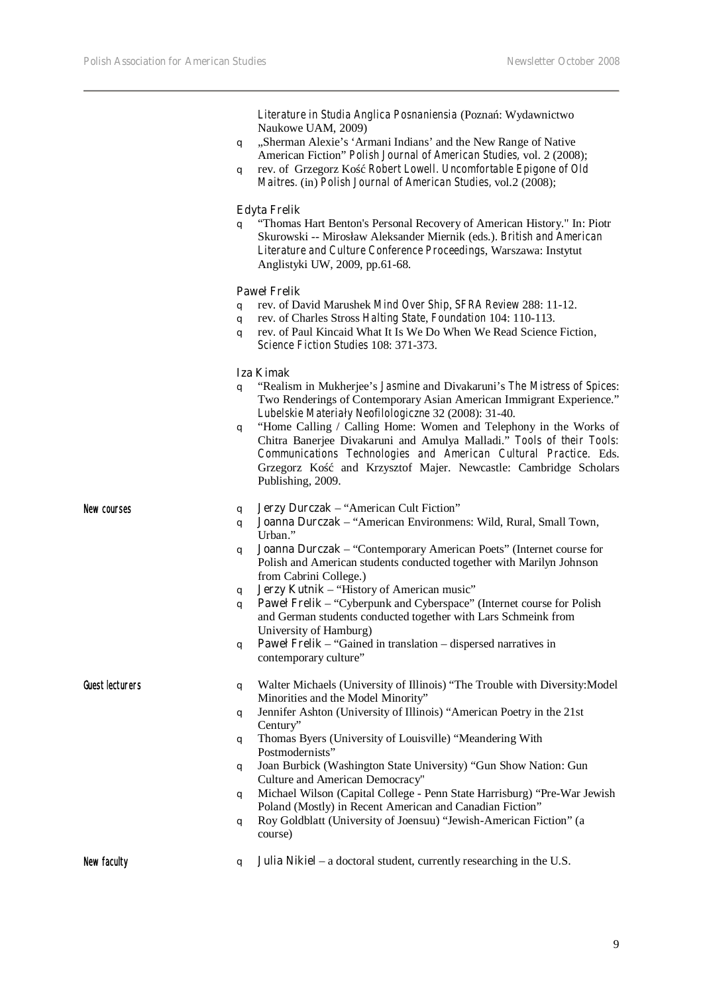| New faculty     | <b>Julia Nikiel</b> – a doctoral student, currently researching in the U.S.<br>q                                                                           |
|-----------------|------------------------------------------------------------------------------------------------------------------------------------------------------------|
|                 | Roy Goldblatt (University of Joensuu) "Jewish-American Fiction" (a<br>q<br>course)                                                                         |
|                 | Michael Wilson (Capital College - Penn State Harrisburg) "Pre-War Jewish<br>q<br>Poland (Mostly) in Recent American and Canadian Fiction"                  |
|                 | Joan Burbick (Washington State University) "Gun Show Nation: Gun<br>q<br>Culture and American Democracy"                                                   |
|                 | Thomas Byers (University of Louisville) "Meandering With<br>q<br>Postmodernists"                                                                           |
|                 | q<br>Century"                                                                                                                                              |
|                 | Minorities and the Model Minority"<br>Jennifer Ashton (University of Illinois) "American Poetry in the 21st                                                |
| Guest lecturers | Walter Michaels (University of Illinois) "The Trouble with Diversity: Model<br>q                                                                           |
|                 | <b>Paweł Frelik</b> – "Gained in translation – dispersed narratives in<br>q<br>contemporary culture"                                                       |
|                 | and German students conducted together with Lars Schmeink from<br>University of Hamburg)                                                                   |
|                 | q<br>Paweł Frelik - "Cyberpunk and Cyberspace" (Internet course for Polish<br>q                                                                            |
|                 | Polish and American students conducted together with Marilyn Johnson<br>from Cabrini College.)<br>Jerzy Kutnik - "History of American music"               |
|                 | Urban."<br>Joanna Durczak - "Contemporary American Poets" (Internet course for<br>q                                                                        |
| New courses     | Jerzy Durczak - "American Cult Fiction"<br>q<br>Joanna Durczak - "American Environmens: Wild, Rural, Small Town,<br>q                                      |
|                 | Communications Technologies and American Cultural Practice. Eds.<br>and Krzysztof Majer. Newcastle: Cambridge Scholars<br>Grzegorz Ko<br>Publishing, 2009. |
|                 | "Home Calling / Calling Home: Women and Telephony in the Works of<br>q<br>Chitra Banerjee Divakaruni and Amulya Malladi." Tools of their Tools:            |
|                 | q<br>Two Renderings of Contemporary Asian American Immigrant Experience."<br>Lubelskie Materiały Neofilologiczne 32 (2008): 31-40.                         |
|                 | <b>Iza Kimak</b><br>"Realism in Mukherjee's Jasmine and Divakaruni's The Mistress of Spices:                                                               |
|                 | Science Fiction Studies 108: 371-373.                                                                                                                      |
|                 | q<br>rev. of Paul Kincaid What It Is We Do When We Read Science Fiction,<br>q                                                                              |
|                 | rev. of David Marushek Mind Over Ship, SFRA Review 288: 11-12.<br>q<br>rev. of Charles Stross Halting State, Foundation 104: 110-113.                      |
|                 | <b>Paweł Frelik</b>                                                                                                                                        |
|                 | Literature and Culture Conference Proceedings, Warszawa: Instytut<br>Anglistyki UW, 2009, pp.61-68.                                                        |
|                 | "Thomas Hart Benton's Personal Recovery of American History." In: Piotr<br>q<br>Skurowski -- Mirosław Aleksander Miernik (eds.). British and American      |
|                 | <b>Edyta Frelik</b>                                                                                                                                        |
|                 | Maitres. (in) Polish Journal of American Studies, vol.2 (2008);                                                                                            |
|                 | American Fiction" Polish Journal of American Studies, vol. 2 (2008);<br>rev. of Grzegorz Ko Robert Lowell. Uncomfortable Epigone of Old<br>q               |
|                 | Naukowe UAM, 2009)<br>"Sherman Alexie's 'Armani Indians' and the New Range of Native<br>q                                                                  |
|                 | Literature in Studia Anglica Posnaniensia (Pozna: Wydawnictwo                                                                                              |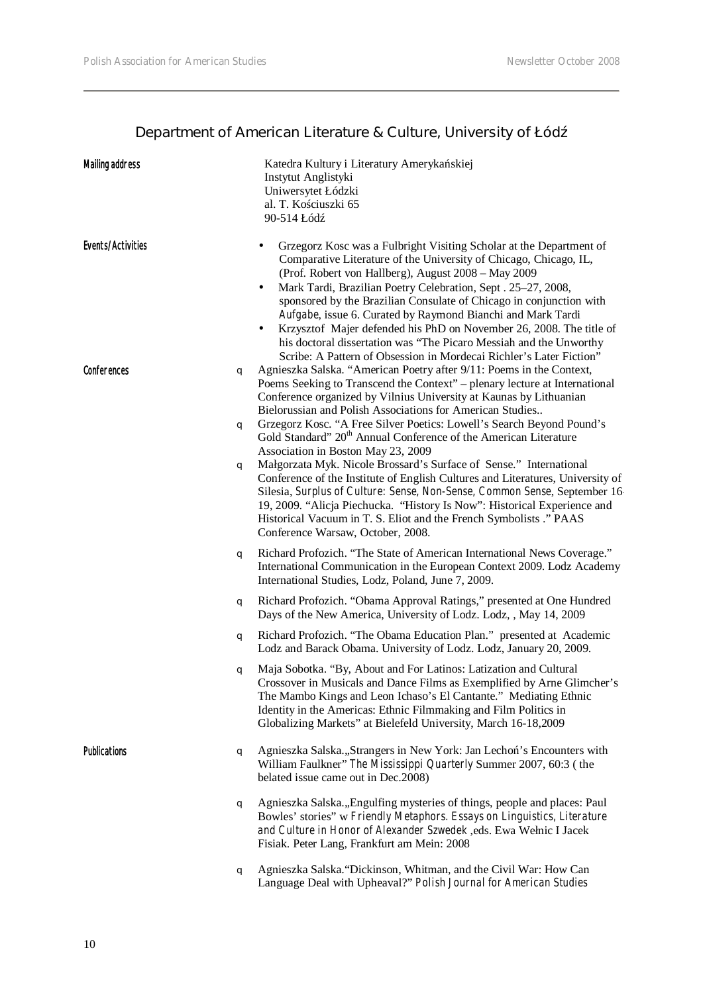# **Department of American Literature & Culture, University of Łód**

| <b>Mailing address</b>   | Katedra Kultury i Literatury Ameryka skiej<br>Instytut Anglistyki<br>Uniwersytet Łódzki<br>al. T. Ko ciuszki 65<br>90-514 Łód                                                                                                                                                                                                                                                                                                                                                                                                                                                                                                                                                                                                                                                                                                                                                                                                   |
|--------------------------|---------------------------------------------------------------------------------------------------------------------------------------------------------------------------------------------------------------------------------------------------------------------------------------------------------------------------------------------------------------------------------------------------------------------------------------------------------------------------------------------------------------------------------------------------------------------------------------------------------------------------------------------------------------------------------------------------------------------------------------------------------------------------------------------------------------------------------------------------------------------------------------------------------------------------------|
| <b>Events/Activities</b> | Grzegorz Kosc was a Fulbright Visiting Scholar at the Department of<br>Comparative Literature of the University of Chicago, Chicago, IL,<br>(Prof. Robert von Hallberg), August 2008 – May 2009<br>Mark Tardi, Brazilian Poetry Celebration, Sept. 25-27, 2008,<br>٠<br>sponsored by the Brazilian Consulate of Chicago in conjunction with<br>Aufgabe, issue 6. Curated by Raymond Bianchi and Mark Tardi<br>Krzysztof Majer defended his PhD on November 26, 2008. The title of<br>$\bullet$<br>his doctoral dissertation was "The Picaro Messiah and the Unworthy<br>Scribe: A Pattern of Obsession in Mordecai Richler's Later Fiction"                                                                                                                                                                                                                                                                                     |
| <b>Conferences</b>       | Agnieszka Salska. "American Poetry after 9/11: Poems in the Context,<br>q<br>Poems Seeking to Transcend the Context" – plenary lecture at International<br>Conference organized by Vilnius University at Kaunas by Lithuanian<br>Bielorussian and Polish Associations for American Studies<br>Grzegorz Kosc. "A Free Silver Poetics: Lowell's Search Beyond Pound's<br>q<br>Gold Standard" 20 <sup>th</sup> Annual Conference of the American Literature<br>Association in Boston May 23, 2009<br>Małgorzata Myk. Nicole Brossard's Surface of Sense." International<br>q<br>Conference of the Institute of English Cultures and Literatures, University of<br>Silesia, Surplus of Culture: Sense, Non-Sense, Common Sense, September 16<br>19, 2009. "Alicja Piechucka. "History Is Now": Historical Experience and<br>Historical Vacuum in T. S. Eliot and the French Symbolists ." PAAS<br>Conference Warsaw, October, 2008. |
|                          | Richard Profozich. "The State of American International News Coverage."<br>q<br>International Communication in the European Context 2009. Lodz Academy<br>International Studies, Lodz, Poland, June 7, 2009.                                                                                                                                                                                                                                                                                                                                                                                                                                                                                                                                                                                                                                                                                                                    |
|                          | Richard Profozich. "Obama Approval Ratings," presented at One Hundred<br>q<br>Days of the New America, University of Lodz. Lodz, , May 14, 2009                                                                                                                                                                                                                                                                                                                                                                                                                                                                                                                                                                                                                                                                                                                                                                                 |
|                          | Richard Profozich. "The Obama Education Plan." presented at Academic<br>q<br>Lodz and Barack Obama. University of Lodz. Lodz, January 20, 2009.                                                                                                                                                                                                                                                                                                                                                                                                                                                                                                                                                                                                                                                                                                                                                                                 |
|                          | Maja Sobotka. "By, About and For Latinos: Latization and Cultural<br>q<br>Crossover in Musicals and Dance Films as Exemplified by Arne Glimcher's<br>The Mambo Kings and Leon Ichaso's El Cantante." Mediating Ethnic<br>Identity in the Americas: Ethnic Filmmaking and Film Politics in<br>Globalizing Markets" at Bielefeld University, March 16-18,2009                                                                                                                                                                                                                                                                                                                                                                                                                                                                                                                                                                     |
| <b>Publications</b>      | Agnieszka Salska., Strangers in New York: Jan Lecho 's Encounters with<br>q<br>William Faulkner" The Mississippi Quarterly Summer 2007, 60:3 (the<br>belated issue came out in Dec.2008)                                                                                                                                                                                                                                                                                                                                                                                                                                                                                                                                                                                                                                                                                                                                        |
|                          | Agnieszka Salska., Engulfing mysteries of things, people and places: Paul<br>q<br>Bowles' stories" w Friendly Metaphors. Essays on Linguistics, Literature<br>and Culture in Honor of Alexander Szwedek , eds. Ewa Wełnic I Jacek<br>Fisiak. Peter Lang, Frankfurt am Mein: 2008                                                                                                                                                                                                                                                                                                                                                                                                                                                                                                                                                                                                                                                |
|                          | Agnieszka Salska. "Dickinson, Whitman, and the Civil War: How Can<br>q<br>Language Deal with Upheaval?" Polish Journal for American Studies                                                                                                                                                                                                                                                                                                                                                                                                                                                                                                                                                                                                                                                                                                                                                                                     |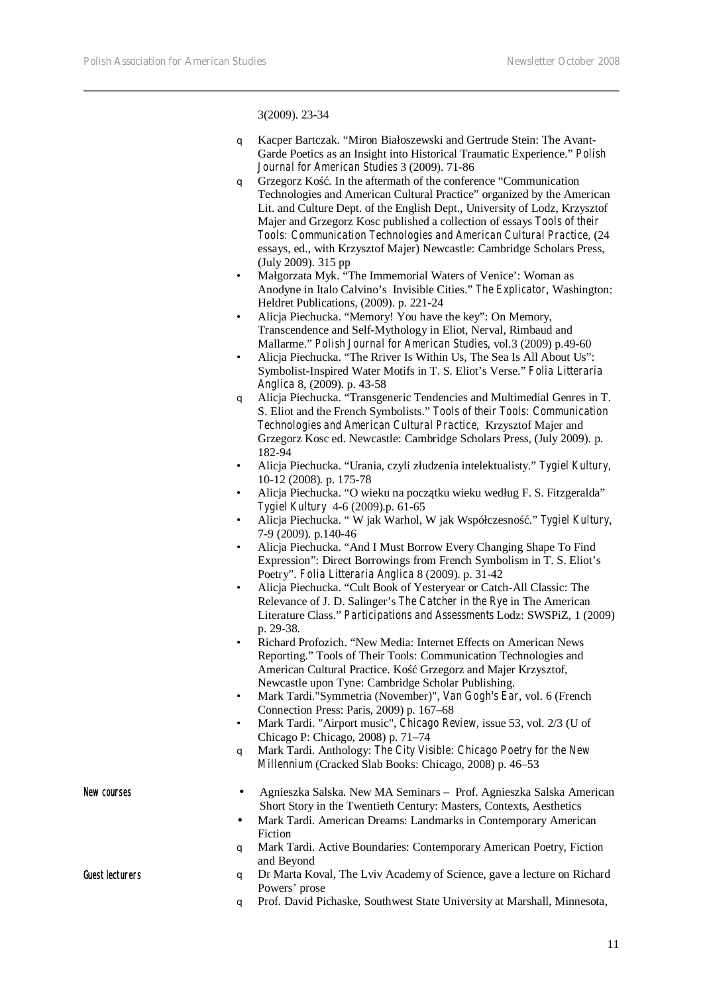3(2009). 23-34

- q Kacper Bartczak. "Miron Białoszewski and Gertrude Stein: The Avant-Garde Poetics as an Insight into Historical Traumatic Experience." *Polish Journal for American Studies* 3 (2009). 71-86
- q Grzegorz Kość. In the aftermath of the conference "Communication Technologies and American Cultural Practice" organized by the American Lit. and Culture Dept. of the English Dept., University of Lodz, Krzysztof Majer and Grzegorz Kosc published a collection of essays *Tools of their Tools: Communication Technologies and American Cultural Practice,* (24 essays, ed., with Krzysztof Majer) Newcastle: Cambridge Scholars Press, (July 2009). 315 pp
- Małgorzata Myk. "The Immemorial Waters of Venice': Woman as Anodyne in Italo Calvino's Invisible Cities." *The Explicator*, Washington: Heldret Publications, (2009). p. 221-24
- Alicja Piechucka. "Memory! You have the key": On Memory, Transcendence and Self-Mythology in Eliot, Nerval, Rimbaud and Mallarme." *Polish Journal for American Studies*, vol.3 (2009) p.49-60
- Alicja Piechucka. "The Rriver Is Within Us, The Sea Is All About Us": Symbolist-Inspired Water Motifs in T. S. Eliot's Verse." *Folia Litteraria Anglica* 8, (2009). p. 43-58
- q Alicja Piechucka. "Transgeneric Tendencies and Multimedial Genres in T. S. Eliot and the French Symbolists." *Tools of their Tools: Communication Technologies and American Cultural Practice,* Krzysztof Majer and Grzegorz Kosc ed. Newcastle: Cambridge Scholars Press, (July 2009). p. 182-94
- Alicja Piechucka. "Urania, czyli złudzenia intelektualisty." *Tygiel Kultury,*  10-12 (2008)*.* p. 175-78
- Alicja Piechucka. "O wieku na początku wieku według F. S. Fitzgeralda" *Tygiel Kultury* 4-6 (2009).p. 61-65
- Alicja Piechucka. " W jak Warhol, W jak Współczesność." *Tygiel Kultury*, 7-9 (2009). p.140-46
- Alicja Piechucka. "And I Must Borrow Every Changing Shape To Find Expression": Direct Borrowings from French Symbolism in T. S. Eliot's Poetry". *Folia Litteraria Anglica* 8 (2009). p. 31-42
- Alicja Piechucka. "Cult Book of Yesteryear or Catch-All Classic: The Relevance of J. D. Salinger's *The Catcher in the Rye* in The American Literature Class." *Participations and Assessments* Lodz: SWSPiZ, 1 (2009) p. 29-38.
- Richard Profozich. "New Media: Internet Effects on American News Reporting." Tools of Their Tools: Communication Technologies and American Cultural Practice. Ko Grzegorz and Majer Krzysztof, Newcastle upon Tyne: Cambridge Scholar Publishing.
- Mark Tardi."Symmetria (November)", *Van Gogh's Ear*, vol. 6 (French Connection Press: Paris, 2009) p. 167–68
- Mark Tardi. "Airport music", *Chicago Review*, issue 53, vol. 2/3 (U of Chicago P: Chicago, 2008) p. 71–74
- q Mark Tardi. Anthology: *The City Visible: Chicago Poetry for the New Millennium* (Cracked Slab Books: Chicago, 2008) p. 46–53
- New courses Agnieszka Salska. New MA Seminars Prof. Agnieszka Salska American Short Story in the Twentieth Century: Masters, Contexts, Aesthetics • Mark Tardi. American Dreams: Landmarks in Contemporary American Fiction q Mark Tardi. Active Boundaries: Contemporary American Poetry, Fiction and Beyond Guest lecturers **q** Dr Marta Koval, The Lviv Academy of Science, gave a lecture on Richard Powers' prose
	- q Prof. David Pichaske, Southwest State University at Marshall, Minnesota,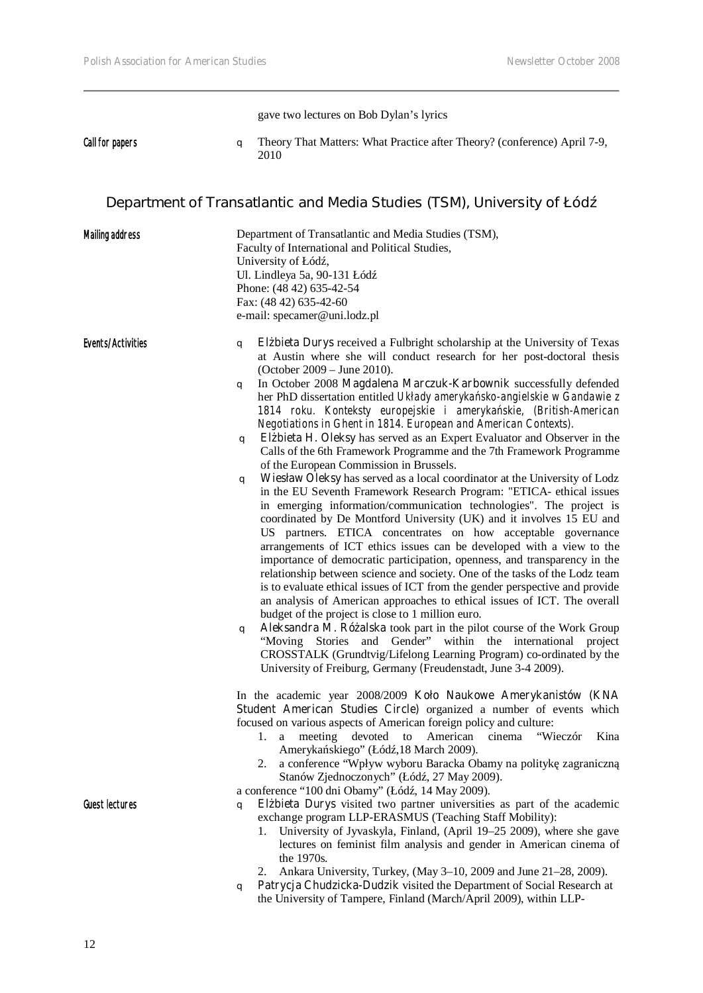gave two lectures on Bob Dylan's lyrics

Call for papers q Theory That Matters: What Practice after Theory? (conference) April 7-9, 2010

# **Department of Transatlantic and Media Studies (TSM), University of Łód**

| <b>Mailing address</b>   | Department of Transatlantic and Media Studies (TSM),<br>Faculty of International and Political Studies,<br>University of Łód,<br>Ul. Lindleya 5a, 90-131 Łód<br>Phone: (48 42) 635-42-54<br>Fax: (48 42) 635-42-60<br>e-mail: specamer@uni.lodz.pl                                                                                                                                                                                                                                                                                                                                                                                                                                                                                                                                                                                                                                                                                                                                                                                                                                                                                                                                                                                                                                                                                                                                                                                                                                                                                                                                                                                                                                                                                                                                                                  |
|--------------------------|---------------------------------------------------------------------------------------------------------------------------------------------------------------------------------------------------------------------------------------------------------------------------------------------------------------------------------------------------------------------------------------------------------------------------------------------------------------------------------------------------------------------------------------------------------------------------------------------------------------------------------------------------------------------------------------------------------------------------------------------------------------------------------------------------------------------------------------------------------------------------------------------------------------------------------------------------------------------------------------------------------------------------------------------------------------------------------------------------------------------------------------------------------------------------------------------------------------------------------------------------------------------------------------------------------------------------------------------------------------------------------------------------------------------------------------------------------------------------------------------------------------------------------------------------------------------------------------------------------------------------------------------------------------------------------------------------------------------------------------------------------------------------------------------------------------------|
| <b>Events/Activities</b> | El bieta Durys received a Fulbright scholarship at the University of Texas<br>q<br>at Austin where she will conduct research for her post-doctoral thesis<br>(October 2009 – June 2010).<br>In October 2008 Magdalena Marczuk-Karbownik successfully defended<br>q<br>her PhD dissertation entitled Układy ameryka sko-angielskie w Gandawie z<br>1814 roku. Konteksty europejskie i ameryka skie, (British-American<br>Negotiations in Ghent in 1814. European and American Contexts).<br>El bieta H. Oleksy has served as an Expert Evaluator and Observer in the<br>q<br>Calls of the 6th Framework Programme and the 7th Framework Programme<br>of the European Commission in Brussels.<br>Wiesław Oleksy has served as a local coordinator at the University of Lodz<br>q<br>in the EU Seventh Framework Research Program: "ETICA- ethical issues<br>in emerging information/communication technologies". The project is<br>coordinated by De Montford University (UK) and it involves 15 EU and<br>US partners. ETICA concentrates on how acceptable governance<br>arrangements of ICT ethics issues can be developed with a view to the<br>importance of democratic participation, openness, and transparency in the<br>relationship between science and society. One of the tasks of the Lodz team<br>is to evaluate ethical issues of ICT from the gender perspective and provide<br>an analysis of American approaches to ethical issues of ICT. The overall<br>budget of the project is close to 1 million euro.<br>Aleksandra M. Ró alska took part in the pilot course of the Work Group<br>q<br>"Moving Stories and Gender" within the international project<br>CROSSTALK (Grundtvig/Lifelong Learning Program) co-ordinated by the<br>University of Freiburg, Germany (Freudenstadt, June 3-4 2009). |
| <b>Guest lectures</b>    | In the academic year 2008/2009 Koło Naukowe Amerykanistów (KNA<br>Student American Studies Circle) organized a number of events which<br>focused on various aspects of American foreign policy and culture:<br>American<br>cinema<br>"Wieczór<br>a meeting devoted<br>Kina<br>1.<br>to<br>Ameryka skiego" (Łód ,18 March 2009).<br>2. a conference "Wpływ wyboru Baracka Obamy na polityk zagraniczn<br>Stanów Zjednoczonych" (Łód., 27 May 2009).<br>a conference "100 dni Obamy" (Łód., 14 May 2009).<br>El bieta Durys visited two partner universities as part of the academic<br>q<br>exchange program LLP-ERASMUS (Teaching Staff Mobility):<br>1. University of Jyvaskyla, Finland, (April 19-25 2009), where she gave<br>lectures on feminist film analysis and gender in American cinema of<br>the 1970s.<br>Ankara University, Turkey, (May 3-10, 2009 and June 21-28, 2009).<br>2.<br>Patrycja Chudzicka-Dudzik visited the Department of Social Research at<br>q<br>the University of Tampere, Finland (March/April 2009), within LLP-                                                                                                                                                                                                                                                                                                                                                                                                                                                                                                                                                                                                                                                                                                                                                                  |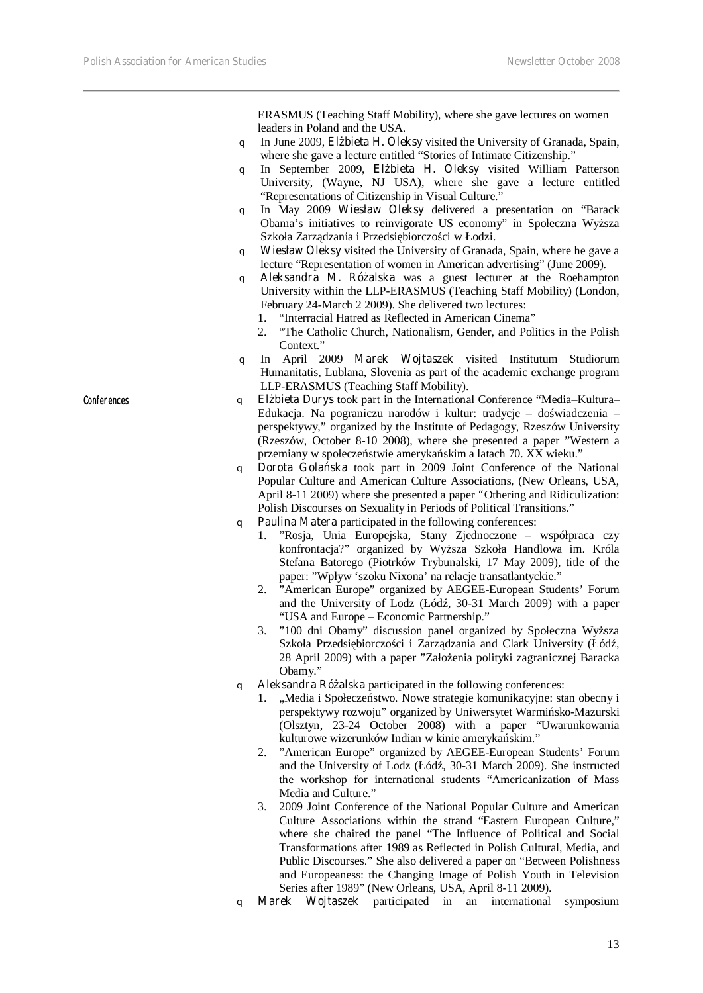ERASMUS (Teaching Staff Mobility), where she gave lectures on women leaders in Poland and the USA.

- q In June 2009, **Elżbieta H. Oleksy** visited the University of Granada, Spain, where she gave a lecture entitled "Stories of Intimate Citizenship."
- q In September 2009, **Elżbieta H. Oleksy** visited William Patterson University, (Wayne, NJ USA), where she gave a lecture entitled "Representations of Citizenship in Visual Culture."
- q In May 2009 **Wiesław Oleksy** delivered a presentation on "Barack Obama's initiatives to reinvigorate US economy" in Społeczna Wy sza Szkoła Zarz dzania i Przedsi biorczo ci w Łodzi.
- q **Wiesław Oleksy** visited the University of Granada, Spain, where he gave a lecture "Representation of women in American advertising" (June 2009).
- q **Aleksandra M. Różalska** was a guest lecturer at the Roehampton University within the LLP-ERASMUS (Teaching Staff Mobility) (London, February 24-March 2 2009). She delivered two lectures:
	- 1. "Interracial Hatred as Reflected in American Cinema"
	- 2. "The Catholic Church, Nationalism, Gender, and Politics in the Polish Context."
- q In April 2009 **Marek Wojtaszek** visited Institutum Studiorum Humanitatis, Lublana, Slovenia as part of the academic exchange program LLP-ERASMUS (Teaching Staff Mobility).
- Conferences q **Elżbieta Durys** took part in the International Conference "Media–Kultura– Edukacja. Na pograniczu narodów i kultur: tradycje – do wiadczenia – perspektywy," organized by the Institute of Pedagogy, Rzeszów University (Rzeszów, October 8-10 2008), where she presented a paper "Western a przemiany w społecze stwie ameryka skim a latach 70. XX wieku."
	- q **Dorota Golańska** took part in 2009 Joint Conference of the National Popular Culture and American Culture Associations**,** (New Orleans, USA, April 8-11 2009) where she presented a paper **"**Othering and Ridiculization: Polish Discourses on Sexuality in Periods of Political Transitions."
	- q **Paulina Matera** participated in the following conferences:
		- 1. "Rosja, Unia Europejska, Stany Zjednoczone współpraca czy konfrontacja?" organized by Wy sza Szkoła Handlowa im. Króla Stefana Batorego (Piotrków Trybunalski, 17 May 2009), title of the paper: "Wpływ 'szoku Nixona' na relacje transatlantyckie."
		- 2. "American Europe" organized by AEGEE-European Students' Forum and the University of Lodz (Łód, 30-31 March 2009) with a paper "USA and Europe – Economic Partnership."
		- 3. "100 dni Obamy" discussion panel organized by Społeczna Wy sza Szkoła Przedsi biorczo ci i Zarz dzania and Clark University (Łód, 28 April 2009) with a paper "Zało enia polityki zagranicznej Baracka Obamy."
	- q **Aleksandra Różalska** participated in the following conferences:
		- 1. "Media i Społecze stwo. Nowe strategie komunikacyjne: stan obecny i perspektywy rozwoju" organized by Uniwersytet Warmi sko-Mazurski (Olsztyn, 23-24 October 2008) with a paper "Uwarunkowania kulturowe wizerunków Indian w kinie ameryka skim."
		- 2. "American Europe" organized by AEGEE-European Students' Forum and the University of Lodz (Łód, 30-31 March 2009). She instructed the workshop for international students "Americanization of Mass Media and Culture."
		- 3. 2009 Joint Conference of the National Popular Culture and American Culture Associations within the strand "Eastern European Culture," where she chaired the panel "The Influence of Political and Social Transformations after 1989 as Reflected in Polish Cultural, Media, and Public Discourses." She also delivered a paper on "Between Polishness and Europeaness: the Changing Image of Polish Youth in Television Series after 1989" (New Orleans, USA, April 8-11 2009).
	- q **Marek Wojtaszek** participated in an international symposium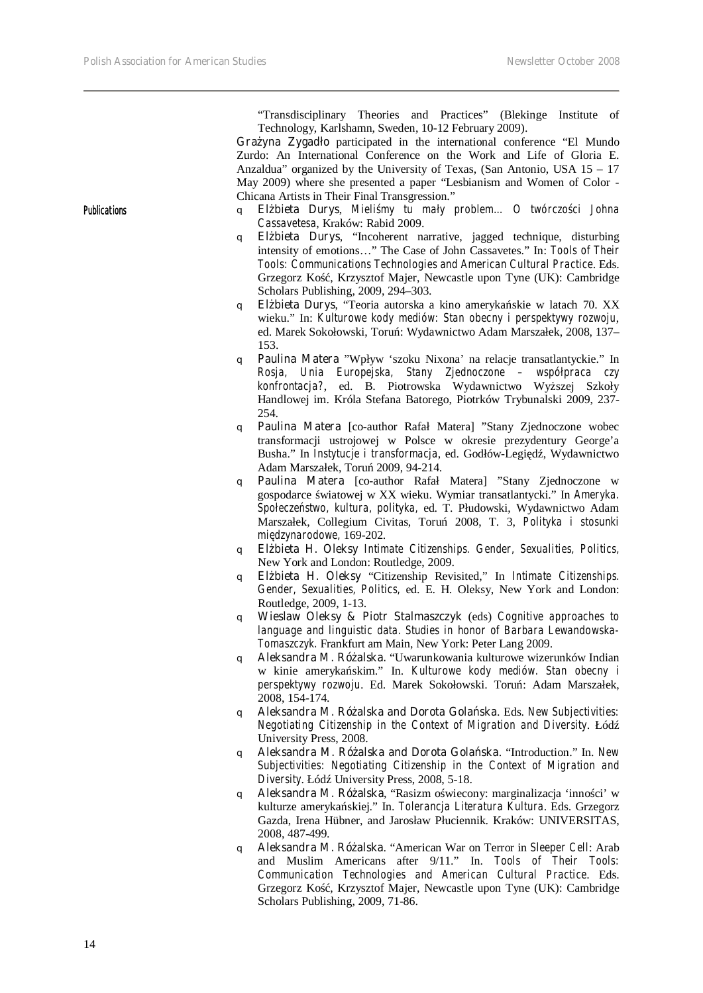"Transdisciplinary Theories and Practices" (Blekinge Institute of Technology, Karlshamn, Sweden, 10-12 February 2009).

**Gra yna Zygadło** participated in the international conference "El Mundo" Zurdo: An International Conference on the Work and Life of Gloria E. Anzaldua" organized by the University of Texas, (San Antonio, USA 15 – 17 May 2009) where she presented a paper "Lesbianism and Women of Color - Chicana Artists in Their Final Transgression."

- Publications **q El bieta Durys**, *Mieli my tu mały problem... O twórczo ci Johna Cassavetesa*, Kraków: Rabid 2009.
	- q **Elżbieta Durys**, "Incoherent narrative, jagged technique, disturbing intensity of emotions…" The Case of John Cassavetes." In: *Tools of Their Tools: Communications Technologies and American Cultural Practice*. Eds. Grzegorz Ko, Krzysztof Majer, Newcastle upon Tyne (UK): Cambridge Scholars Publishing, 2009, 294–303.
	- q **Elżbieta Durys**, "Teoria autorska a kino amerykańskie w latach 70. XX wieku." In: *Kulturowe kody mediów: Stan obecny i perspektywy rozwoju*, ed. Marek Sokołowski, Toru: Wydawnictwo Adam Marszałek, 2008, 137– 153.
	- q **Paulina Matera** "Wpływ 'szoku Nixona' na relacje transatlantyckie." In *Rosja, Unia Europejska, Stany Zjednoczone – współpraca czy konfrontacja?*, ed. B. Piotrowska Wydawnictwo Wyższej Szkoły Handlowej im. Króla Stefana Batorego, Piotrków Trybunalski 2009, 237- 254.
	- q **Paulina Matera** [co-author Rafał Matera] "Stany Zjednoczone wobec transformacji ustrojowej w Polsce w okresie prezydentury George'a Busha." In *Instytucje i transformacja*, ed. Godłów-Legi d, Wydawnictwo Adam Marszałek, Toruń 2009, 94-214.
	- q **Paulina Matera** [co-author Rafał Matera] "Stany Zjednoczone w gospodarce wiatowej w XX wieku. Wymiar transatlantycki." In *Ameryka*. *Społeczeństwo, kultura, polityka,* ed. T. Płudowski, Wydawnictwo Adam Marszałek, Collegium Civitas, Toruń 2008, T. 3, *Polityka i stosunki międzynarodowe,* 169-202.
	- q **Elżbieta H. Oleksy** *Intimate Citizenships. Gender, Sexualities, Politics,*  New York and London: Routledge, 2009.
	- q **Elżbieta H. Oleksy** "Citizenship Revisited," In *Intimate Citizenships. Gender, Sexualities, Politics,* ed. E. H. Oleksy, New York and London: Routledge, 2009, 1-13.
	- q **Wieslaw Oleksy & Piotr Stalmaszczyk** (eds) *Cognitive approaches to language and linguistic data. Studies in honor of Barbara Lewandowska-Tomaszczyk.* Frankfurt am Main, New York: Peter Lang 2009.
	- q **Aleksandra M. Różalska.** "Uwarunkowania kulturowe wizerunków Indian w kinie amerykańskim." In. *Kulturowe kody mediów. Stan obecny i perspektywy rozwoju*. Ed. Marek Sokołowski. Toruń: Adam Marszałek, 2008, 154-174.
	- q **Aleksandra M. Różalska and Dorota Golańska**. Eds. *New Subjectivities: Negotiating Citizenship in the Context of Migration and Diversity*. Łódź University Press, 2008.
	- q **Aleksandra M. Różalska and Dorota Golańska**. "Introduction." In. *New Subjectivities: Negotiating Citizenship in the Context of Migration and Diversity*. Łód University Press, 2008, 5-18.
	- q **Aleksandra M. Ró alska**, "Rasizm o wiecony: marginalizacja 'inno ci' w kulturze ameryka skiej." In. *Tolerancja Literatura Kultura*. Eds. Grzegorz Gazda, Irena Hübner, and Jarosław Płuciennik. Kraków: UNIVERSITAS, 2008, 487-499.
	- q **Aleksandra M. Różalska**. "American War on Terror in *Sleeper Cell*: Arab and Muslim Americans after 9/11." In. *Tools of Their Tools: Communication Technologies and American Cultural Practice*. Eds. Grzegorz Ko, Krzysztof Majer, Newcastle upon Tyne (UK): Cambridge Scholars Publishing, 2009, 71-86.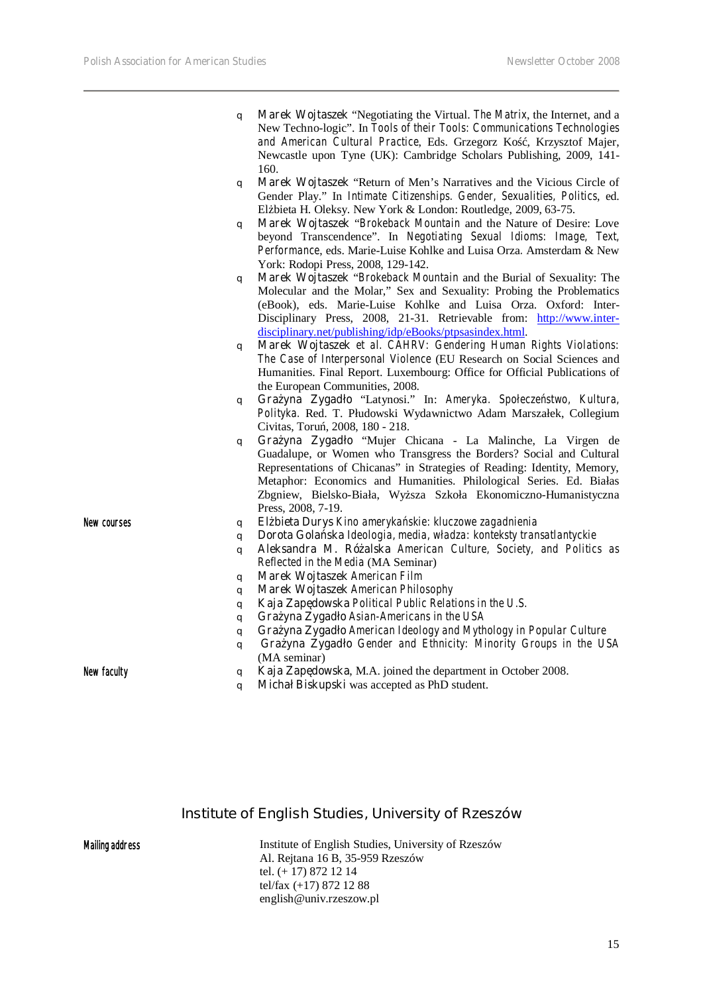|                    | New Techno-logic". In Tools of their Tools: Communications Technologies<br>and American Cultural Practice, Eds. Grzegorz Ko, Krzysztof Majer,<br>Newcastle upon Tyne (UK): Cambridge Scholars Publishing, 2009, 141- |
|--------------------|----------------------------------------------------------------------------------------------------------------------------------------------------------------------------------------------------------------------|
|                    | 160.                                                                                                                                                                                                                 |
|                    | Marek Wojtaszek "Return of Men's Narratives and the Vicious Circle of<br>q                                                                                                                                           |
|                    | Gender Play." In Intimate Citizenships. Gender, Sexualities, Politics, ed.                                                                                                                                           |
|                    | El bieta H. Oleksy. New York & London: Routledge, 2009, 63-75.                                                                                                                                                       |
|                    | Marek Wojtaszek "Brokeback Mountain and the Nature of Desire: Love<br>q                                                                                                                                              |
|                    | beyond Transcendence". In Negotiating Sexual Idioms: Image, Text,                                                                                                                                                    |
|                    | Performance, eds. Marie-Luise Kohlke and Luisa Orza. Amsterdam & New                                                                                                                                                 |
|                    | York: Rodopi Press, 2008, 129-142.                                                                                                                                                                                   |
|                    | Marek Wojtaszek "Brokeback Mountain and the Burial of Sexuality: The<br>q                                                                                                                                            |
|                    | Molecular and the Molar," Sex and Sexuality: Probing the Problematics                                                                                                                                                |
|                    | (eBook), eds. Marie-Luise Kohlke and Luisa Orza. Oxford: Inter-                                                                                                                                                      |
|                    | Disciplinary Press, 2008, 21-31. Retrievable from: http://www.inter-                                                                                                                                                 |
|                    | disciplinary.net/publishing/idp/eBooks/ptpsasindex.html.                                                                                                                                                             |
|                    | Marek Wojtaszek et al. CAHRV: Gendering Human Rights Violations:<br>q                                                                                                                                                |
|                    | The Case of Interpersonal Violence (EU Research on Social Sciences and                                                                                                                                               |
|                    | Humanities. Final Report. Luxembourg: Office for Official Publications of                                                                                                                                            |
|                    | the European Communities, 2008.                                                                                                                                                                                      |
|                    | Gra yna Zygadło "Latynosi." In: Ameryka. Społecze stwo, Kultura,<br>q                                                                                                                                                |
|                    | Polityka. Red. T. Płudowski Wydawnictwo Adam Marszałek, Collegium                                                                                                                                                    |
|                    | Civitas, Toru, 2008, 180 - 218.                                                                                                                                                                                      |
|                    | Gra yna Zygadło "Mujer Chicana - La Malinche, La Virgen de<br>q                                                                                                                                                      |
|                    | Guadalupe, or Women who Transgress the Borders? Social and Cultural                                                                                                                                                  |
|                    | Representations of Chicanas" in Strategies of Reading: Identity, Memory,                                                                                                                                             |
|                    | Metaphor: Economics and Humanities. Philological Series. Ed. Białas                                                                                                                                                  |
|                    | Zbgniew, Bielsko-Biała, Wy sza Szkoła Ekonomiczno-Humanistyczna                                                                                                                                                      |
|                    | Press, 2008, 7-19.                                                                                                                                                                                                   |
| New courses        | El bieta Durys Kino ameryka skie: kluczowe zagadnienia<br>q                                                                                                                                                          |
|                    | Dorota Gola ska Ideologia, media, władza: konteksty transatlantyckie<br>q                                                                                                                                            |
|                    | Aleksandra M. Ró alska American Culture, Society, and Politics as<br>q                                                                                                                                               |
|                    | Reflected in the Media (MA Seminar)                                                                                                                                                                                  |
|                    | <b>Marek Wojtaszek</b> American Film<br>q                                                                                                                                                                            |
|                    | <b>Marek Wojtaszek</b> American Philosophy<br>q                                                                                                                                                                      |
|                    | Kaja Zap dowska Political Public Relations in the U.S.<br>q                                                                                                                                                          |
|                    | Gra yna Zygadło Asian-Americans in the USA<br>q                                                                                                                                                                      |
|                    | Gra yna Zygadło American Ideology and Mythology in Popular Culture<br>q                                                                                                                                              |
|                    | Gra yna Zygadło Gender and Ethnicity: Minority Groups in the USA<br>q                                                                                                                                                |
|                    | (MA seminar)                                                                                                                                                                                                         |
| <b>New faculty</b> | Kaja Zap dowska, M.A. joined the department in October 2008.<br>q                                                                                                                                                    |

q **Marek Wojtaszek** "Negotiating the Virtual. *The Matrix*, the Internet, and a

q **Michał Biskupski** was accepted as PhD student.

## **Institute of English Studies, University of Rzeszów**

#### Mailing address

Institute of English Studies, University of Rzeszów Al. Rejtana 16 B, 35-959 Rzeszów tel. (+ 17) 872 12 14 tel/fax (+17) 872 12 88 english@univ.rzeszow.pl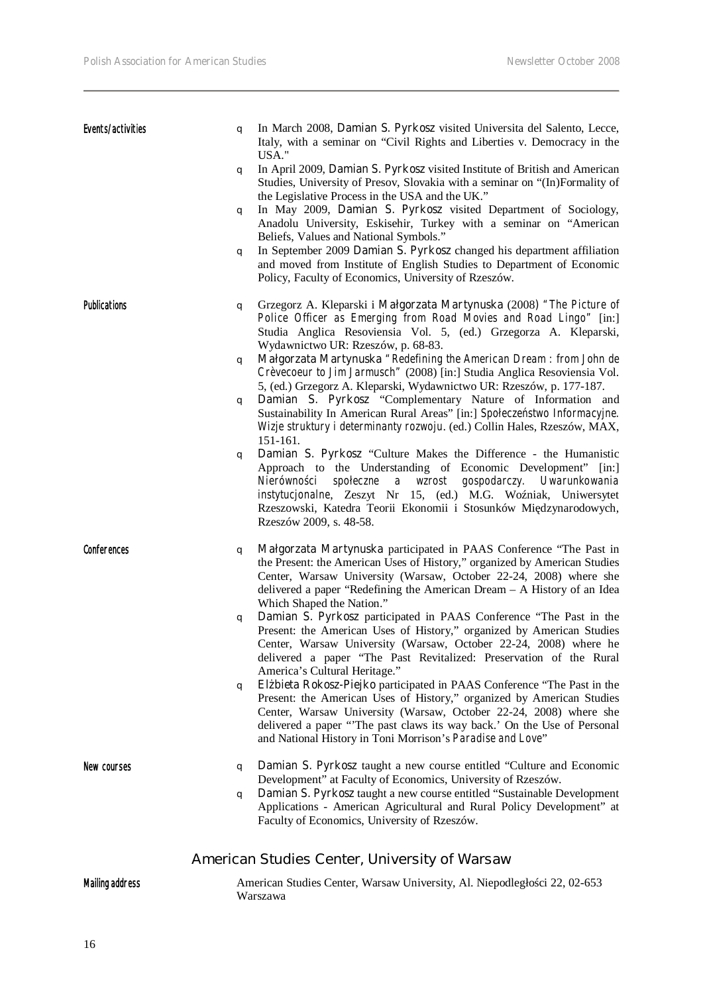| Events/activities      | q | In March 2008, Damian S. Pyrkosz visited Universita del Salento, Lecce,<br>Italy, with a seminar on "Civil Rights and Liberties v. Democracy in the<br>USA."                                                                                                                                                                                                                                         |
|------------------------|---|------------------------------------------------------------------------------------------------------------------------------------------------------------------------------------------------------------------------------------------------------------------------------------------------------------------------------------------------------------------------------------------------------|
|                        | q | In April 2009, Damian S. Pyrkosz visited Institute of British and American<br>Studies, University of Presov, Slovakia with a seminar on "(In)Formality of                                                                                                                                                                                                                                            |
|                        | q | the Legislative Process in the USA and the UK."<br>In May 2009, Damian S. Pyrkosz visited Department of Sociology,<br>Anadolu University, Eskisehir, Turkey with a seminar on "American<br>Beliefs, Values and National Symbols."                                                                                                                                                                    |
|                        | q | In September 2009 Damian S. Pyrkosz changed his department affiliation<br>and moved from Institute of English Studies to Department of Economic<br>Policy, Faculty of Economics, University of Rzeszów.                                                                                                                                                                                              |
| <b>Publications</b>    | q | Grzegorz A. Kleparski i Małgorzata Martynuska (2008) "The Picture of<br>Police Officer as Emerging from Road Movies and Road Lingo" [in:]<br>Studia Anglica Resoviensia Vol. 5, (ed.) Grzegorza A. Kleparski,<br>Wydawnictwo UR: Rzeszów, p. 68-83.                                                                                                                                                  |
|                        | q | Małgorzata Martynuska "Redefining the American Dream : from John de<br>Crèvecoeur to Jim Jarmusch" (2008) [in:] Studia Anglica Resoviensia Vol.<br>5, (ed.) Grzegorz A. Kleparski, Wydawnictwo UR: Rzeszów, p. 177-187.                                                                                                                                                                              |
|                        | q | Damian S. Pyrkosz "Complementary Nature of Information and<br>Sustainability In American Rural Areas" [in:] Społecze stwo Informacyjne.<br>Wizje struktury i determinanty rozwoju. (ed.) Collin Hales, Rzeszów, MAX,<br>151-161.                                                                                                                                                                     |
|                        | q | Damian S. Pyrkosz "Culture Makes the Difference - the Humanistic<br>Approach to the Understanding of Economic Development"<br>$\left[ \text{in:} \right]$<br>społeczne<br>a wzrost<br>gospodarczy.<br>Nierówno ci<br>Uwarunkowania<br>instytucjonalne, Zeszyt Nr 15, (ed.) M.G. Wo niak, Uniwersytet<br>Rzeszowski, Katedra Teorii Ekonomii i Stosunków Mi dzynarodowych,<br>Rzeszów 2009, s. 48-58. |
| <b>Conferences</b>     | q | Małgorzata Martynuska participated in PAAS Conference "The Past in<br>the Present: the American Uses of History," organized by American Studies<br>Center, Warsaw University (Warsaw, October 22-24, 2008) where she<br>delivered a paper "Redefining the American Dream - A History of an Idea<br>Which Shaped the Nation."                                                                         |
|                        | q | Damian S. Pyrkosz participated in PAAS Conference "The Past in the<br>Present: the American Uses of History," organized by American Studies<br>Center, Warsaw University (Warsaw, October 22-24, 2008) where he<br>delivered a paper "The Past Revitalized: Preservation of the Rural<br>America's Cultural Heritage."                                                                               |
|                        | q | El bieta Rokosz-Piejko participated in PAAS Conference "The Past in the<br>Present: the American Uses of History," organized by American Studies<br>Center, Warsaw University (Warsaw, October 22-24, 2008) where she<br>delivered a paper "The past claws its way back.' On the Use of Personal<br>and National History in Toni Morrison's Paradise and Love"                                       |
| New courses            | q | Damian S. Pyrkosz taught a new course entitled "Culture and Economic<br>Development" at Faculty of Economics, University of Rzeszów.                                                                                                                                                                                                                                                                 |
|                        | q | Damian S. Pyrkosz taught a new course entitled "Sustainable Development"<br>Applications - American Agricultural and Rural Policy Development" at<br>Faculty of Economics, University of Rzeszów.                                                                                                                                                                                                    |
|                        |   | <b>American Studies Center, University of Warsaw</b>                                                                                                                                                                                                                                                                                                                                                 |
| <b>Mailing address</b> |   | American Studies Center, Warsaw University, Al. Niepodległo ci 22, 02-653<br>Warszawa                                                                                                                                                                                                                                                                                                                |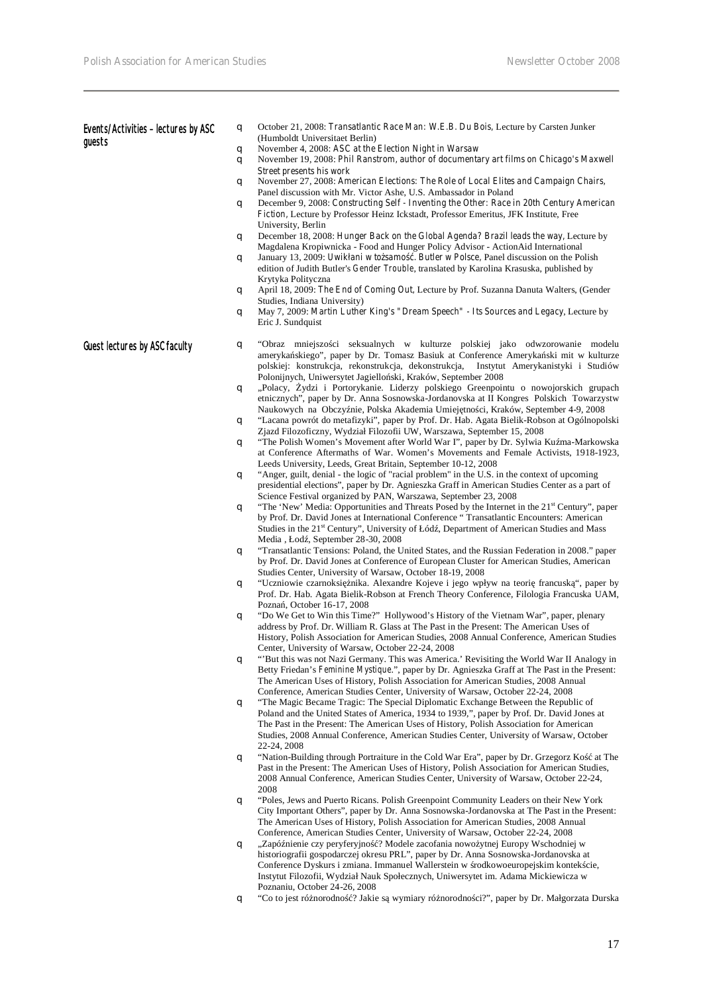| Events/Activities - lectures by ASC<br>guests | q | October 21, 2008: <i>Transatlantic Race Man: W.E.B. Du Bois</i> , Lecture by Carsten Junker<br>(Humboldt Universitaet Berlin)                                                                                                                                                                                                                                                     |
|-----------------------------------------------|---|-----------------------------------------------------------------------------------------------------------------------------------------------------------------------------------------------------------------------------------------------------------------------------------------------------------------------------------------------------------------------------------|
|                                               | q | November 4, 2008: ASC at the Election Night in Warsaw                                                                                                                                                                                                                                                                                                                             |
|                                               | q | November 19, 2008: Phil Ranstrom, author of documentary art films on Chicago's Maxwell<br><b>Street presents his work</b>                                                                                                                                                                                                                                                         |
|                                               | q | November 27, 2008: American Elections: The Role of Local Elites and Campaign Chairs,<br>Panel discussion with Mr. Victor Ashe, U.S. Ambassador in Poland                                                                                                                                                                                                                          |
|                                               | q | December 9, 2008: Constructing Self - Inventing the Other: Race in 20th Century American<br><b>Fiction,</b> Lecture by Professor Heinz Ickstadt, Professor Emeritus, JFK Institute, Free<br>University, Berlin                                                                                                                                                                    |
|                                               | q | December 18, 2008: Hunger Back on the Global Agenda? Brazil leads the way, Lecture by<br>Magdalena Kropiwnicka - Food and Hunger Policy Advisor - ActionAid International                                                                                                                                                                                                         |
|                                               | q | January 13, 2009: Uwikłani w to samo. Butler w Polsce, Panel discussion on the Polish<br>edition of Judith Butler's <i>Gender Trouble</i> , translated by Karolina Krasuska, published by<br>Krytyka Polityczna                                                                                                                                                                   |
|                                               | q | April 18, 2009: The End of Coming Out, Lecture by Prof. Suzanna Danuta Walters, (Gender<br>Studies, Indiana University)                                                                                                                                                                                                                                                           |
|                                               | q | May 7, 2009: Martin Luther King's "Dream Speech" - Its Sources and Legacy, Lecture by<br>Eric J. Sundquist                                                                                                                                                                                                                                                                        |
| <b>Guest lectures by ASC faculty</b>          | q | "Obraz mniejszo-ci seksualnych w kulturze polskiej jako odwzorowanie modelu<br>ameryka skiego", paper by Dr. Tomasz Basiuk at Conference Ameryka ski mit w kulturze<br>polskiej: konstrukcja, rekonstrukcja, dekonstrukcja, Instytut Amerykanistyki i Studiów<br>Polonijnych, Uniwersytet Jagiello ski, Kraków, September 2008                                                    |
|                                               | q | "Polacy, ydzi i Portorykanie. Liderzy polskiego Greenpointu o nowojorskich grupach<br>etnicznych", paper by Dr. Anna Sosnowska-Jordanovska at II Kongres Polskich Towarzystw<br>Naukowych na Obczy nie, Polska Akademia Umiej tno ci, Kraków, September 4-9, 2008                                                                                                                 |
|                                               | q | "Lacana powrót do metafizyki", paper by Prof. Dr. Hab. Agata Bielik-Robson at Ogólnopolski<br>Zjazd Filozoficzny, Wydział Filozofii UW, Warszawa, September 15, 2008<br>"The Polish Women's Movement after World War I", paper by Dr. Sylwia Ku ma-Markowska                                                                                                                      |
|                                               | q | at Conference Aftermaths of War. Women's Movements and Female Activists, 1918-1923,<br>Leeds University, Leeds, Great Britain, September 10-12, 2008                                                                                                                                                                                                                              |
|                                               | q | "Anger, guilt, denial - the logic of "racial problem" in the U.S. in the context of upcoming<br>presidential elections", paper by Dr. Agnieszka Graff in American Studies Center as a part of<br>Science Festival organized by PAN, Warszawa, September 23, 2008                                                                                                                  |
|                                               | q | "The 'New' Media: Opportunities and Threats Posed by the Internet in the 21 <sup>st</sup> Century", paper<br>by Prof. Dr. David Jones at International Conference "Transatlantic Encounters: American<br>Studies in the 21 <sup>st</sup> Century", University of Łód, Department of American Studies and Mass<br>Media, Łod, September 28-30, 2008                                |
|                                               | q | "Transatlantic Tensions: Poland, the United States, and the Russian Federation in 2008." paper<br>by Prof. Dr. David Jones at Conference of European Cluster for American Studies, American                                                                                                                                                                                       |
|                                               | q | Studies Center, University of Warsaw, October 18-19, 2008<br>"Uczniowie czarnoksi nika. Alexandre Kojeve i jego wpływ na teori francusk", paper by<br>Prof. Dr. Hab. Agata Bielik-Robson at French Theory Conference, Filologia Francuska UAM,                                                                                                                                    |
|                                               | q | Pozna, October 16-17, 2008<br>"Do We Get to Win this Time?" Hollywood's History of the Vietnam War", paper, plenary<br>address by Prof. Dr. William R. Glass at The Past in the Present: The American Uses of<br>History, Polish Association for American Studies, 2008 Annual Conference, American Studies<br>Center, University of Warsaw, October 22-24, 2008                  |
|                                               | q | "But this was not Nazi Germany. This was America.' Revisiting the World War II Analogy in<br>Betty Friedan's Feminine Mystique.", paper by Dr. Agnieszka Graff at The Past in the Present:<br>The American Uses of History, Polish Association for American Studies, 2008 Annual<br>Conference, American Studies Center, University of Warsaw, October 22-24, 2008                |
|                                               | q | "The Magic Became Tragic: The Special Diplomatic Exchange Between the Republic of<br>Poland and the United States of America, 1934 to 1939,", paper by Prof. Dr. David Jones at<br>The Past in the Present: The American Uses of History, Polish Association for American<br>Studies, 2008 Annual Conference, American Studies Center, University of Warsaw, October              |
|                                               | q | 22-24, 2008<br>"Nation-Building through Portraiture in the Cold War Era", paper by Dr. Grzegorz Ko at The<br>Past in the Present: The American Uses of History, Polish Association for American Studies,<br>2008 Annual Conference, American Studies Center, University of Warsaw, October 22-24,                                                                                 |
|                                               | q | 2008<br>"Poles, Jews and Puerto Ricans. Polish Greenpoint Community Leaders on their New York<br>City Important Others", paper by Dr. Anna Sosnowska-Jordanovska at The Past in the Present:<br>The American Uses of History, Polish Association for American Studies, 2008 Annual<br>Conference, American Studies Center, University of Warsaw, October 22-24, 2008              |
|                                               | q | "Zapó nienie czy peryferyjno ? Modele zacofania nowo ytnej Europy Wschodniej w<br>historiografii gospodarczej okresu PRL", paper by Dr. Anna Sosnowska-Jordanovska at<br>Conference Dyskurs i zmiana. Immanuel Wallerstein w rodkowoeuropejskim kontek cie,<br>Instytut Filozofii, Wydział Nauk Społecznych, Uniwersytet im. Adama Mickiewicza w<br>Poznaniu, October 24-26, 2008 |
|                                               | q | "Co to jest ró norodno ? Jakie s wymiary ró norodno ci?", paper by Dr. Małgorzata Durska                                                                                                                                                                                                                                                                                          |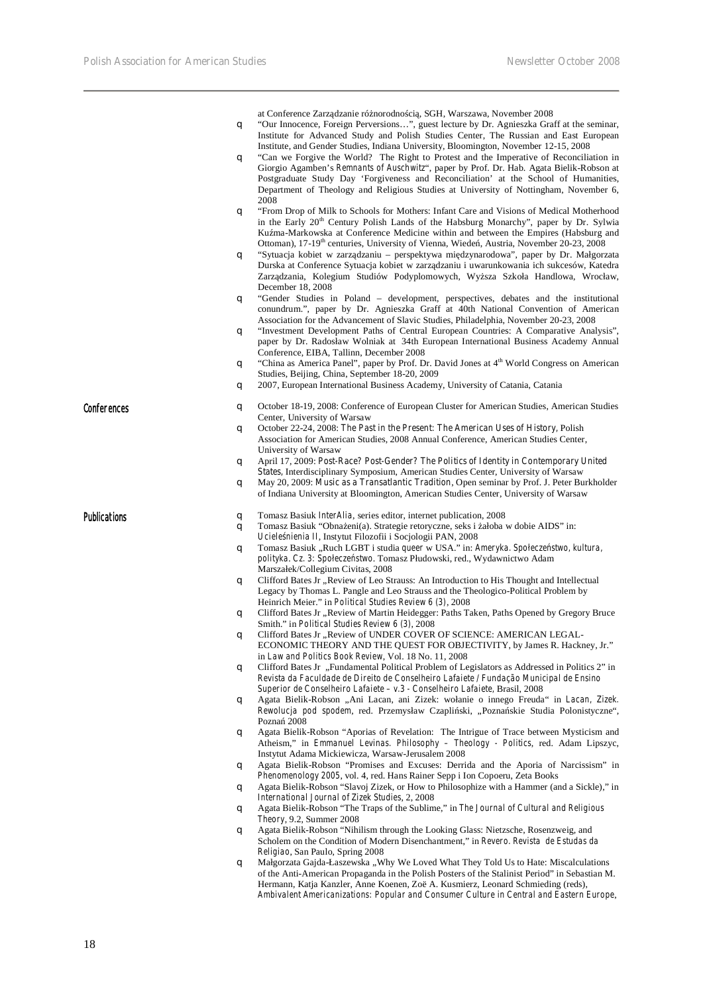at Conference Zarz dzanie ró $\,$ norodno $\,$ ci $\,$ , SGH, Warszawa, November 2008

- q "Our Innocence, Foreign Perversions…", guest lecture by Dr. Agnieszka Graff at the seminar, Institute for Advanced Study and Polish Studies Center, The Russian and East European Institute, and Gender Studies, Indiana University, Bloomington, November 12-15, 2008
- q "Can we Forgive the World? The Right to Protest and the Imperative of Reconciliation in Giorgio Agamben's *Remnants of Auschwitz*", paper by Prof. Dr. Hab. Agata Bielik-Robson at Postgraduate Study Day 'Forgiveness and Reconciliation' at the School of Humanities, Department of Theology and Religious Studies at University of Nottingham, November 6, 2008
- q "From Drop of Milk to Schools for Mothers: Infant Care and Visions of Medical Motherhood in the Early 20<sup>th</sup> Century Polish Lands of the Habsburg Monarchy", paper by Dr. Sylwia Ku ma-Markowska at Conference Medicine within and between the Empires (Habsburg and Ottoman), 17-19<sup>th</sup> centuries, University of Vienna, Wiede, Austria, November 20-23, 2008
- q "Sytuacja kobiet w zarządzaniu perspektywa międzynarodowa", paper by Dr. Małgorzata Durska at Conference Sytuacja kobiet w zarządzaniu i uwarunkowania ich sukcesów, Katedra Zarz dzania, Kolegium Studiów Podyplomowych, Wy sza Szkoła Handlowa, Wrocław, December 18, 2008
- q "Gender Studies in Poland development, perspectives, debates and the institutional conundrum.", paper by Dr. Agnieszka Graff at 40th National Convention of American Association for the Advancement of Slavic Studies, Philadelphia, November 20-23, 2008
- q "Investment Development Paths of Central European Countries: A Comparative Analysis", paper by Dr. Radosław Wolniak at 34th European International Business Academy Annual Conference, EIBA, Tallinn, December 2008
- q "China as America Panel", paper by Prof. Dr. David Jones at 4<sup>th</sup> World Congress on American Studies, Beijing, China, September 18-20, 2009
- q 2007, European International Business Academy, University of Catania, Catania
- 
- Conferences conferences q October 18-19, 2008: Conference of European Cluster for American Studies, American Studies Center, University of Warsaw
	- q October 22-24, 2008: *The Past in the Present: The American Uses of History,* Polish Association for American Studies, 2008 Annual Conference, American Studies Center, University of Warsaw
	- q April 17, 2009: *Post-Race? Post-Gender? The Politics of Identity in Contemporary United States,* Interdisciplinary Symposium, American Studies Center, University of Warsaw
	- q May 20, 2009: *Music as a Transatlantic Tradition*, Open seminar by Prof. J. Peter Burkholder of Indiana University at Bloomington, American Studies Center, University of Warsaw

- **Publications Publications Publications q** Tomasz Basiuk *InterAlia*, series editor, internet publication, 2008 **q** Tomasz Basiuk "Obna eni(a). Strategie retoryczne, seks i ałoba v
	- Tomasz Basiuk "Obna eni(a). Strategie retoryczne, seks i ałoba w dobie AIDS" in: *Uciele nienia II*, Instytut Filozofii i Socjologii PAN, 2008
	- q Tomasz Basiuk "Ruch LGBT i studia *queer* w USA." in: *Ameryka. Społecze stwo, kultura*, *polityka*. *Cz. 3: Społeczeństwo*. Tomasz Płudowski, red., Wydawnictwo Adam Marszałek/Collegium Civitas, 2008
	- q Clifford Bates Jr "Review of Leo Strauss: An Introduction to His Thought and Intellectual Legacy by Thomas L. Pangle and Leo Strauss and the Theologico-Political Problem by Heinrich Meier." in *Political Studies Review 6 (3)*, 2008
	- q Clifford Bates Jr "Review of Martin Heidegger: Paths Taken, Paths Opened by Gregory Bruce Smith." in *Political Studies Review 6 (3)*, 2008
	- q Clifford Bates Jr "Review of UNDER COVER OF SCIENCE: AMERICAN LEGAL-ECONOMIC THEORY AND THE QUEST FOR OBJECTIVITY, by James R. Hackney, Jr." in *Law and Politics Book Review*, Vol. 18 No. 11, 2008
	- q Clifford Bates Jr "Fundamental Political Problem of Legislators as Addressed in Politics 2" in *Revista da Faculdade de Direito de Conselheiro Lafaiete / Fundação Municipal de Ensino Superior de Conselheiro Lafaiete – v.3 - Conselheiro Lafaiete,* Brasil, 2008
	- q Agata Bielik-Robson "Ani Lacan, ani Zizek: wołanie o innego Freuda" in *Lacan, Zizek. Rewolucja pod spodem*, red. Przemysław Czapli ski, "Pozna skie Studia Polonistyczne", Pozna 2008
	- q Agata Bielik-Robson "Aporias of Revelation: The Intrigue of Trace between Mysticism and Atheism," in *Emmanuel Levinas. Philosophy – Theology - Politics*, red. Adam Lipszyc, Instytut Adama Mickiewicza, Warsaw-Jerusalem 2008
	- q Agata Bielik-Robson "Promises and Excuses: Derrida and the Aporia of Narcissism" in *Phenomenology 2005*, vol. 4, red. Hans Rainer Sepp i Ion Copoeru, Zeta Books
	- q Agata Bielik-Robson "Slavoj Zizek, or How to Philosophize with a Hammer (and a Sickle)," in *International Journal of Zizek Studies*, 2, 2008
	- q Agata Bielik-Robson "The Traps of the Sublime," in *The Journal of Cultural and Religious Theory*, 9.2, Summer 2008
	- q Agata Bielik-Robson "Nihilism through the Looking Glass: Nietzsche, Rosenzweig, and Scholem on the Condition of Modern Disenchantment," in *Revero. Revista de Estudas da Religiao*, San Paulo, Spring 2008
	- q Małgorzata Gajda-Łaszewska "Why We Loved What They Told Us to Hate: Miscalculations of the Anti-American Propaganda in the Polish Posters of the Stalinist Period" in Sebastian M. Hermann, Katja Kanzler, Anne Koenen, Zoë A. Kusmierz, Leonard Schmieding (reds), *Ambivalent Americanizations: Popular and Consumer Culture in Central and Eastern Europe*,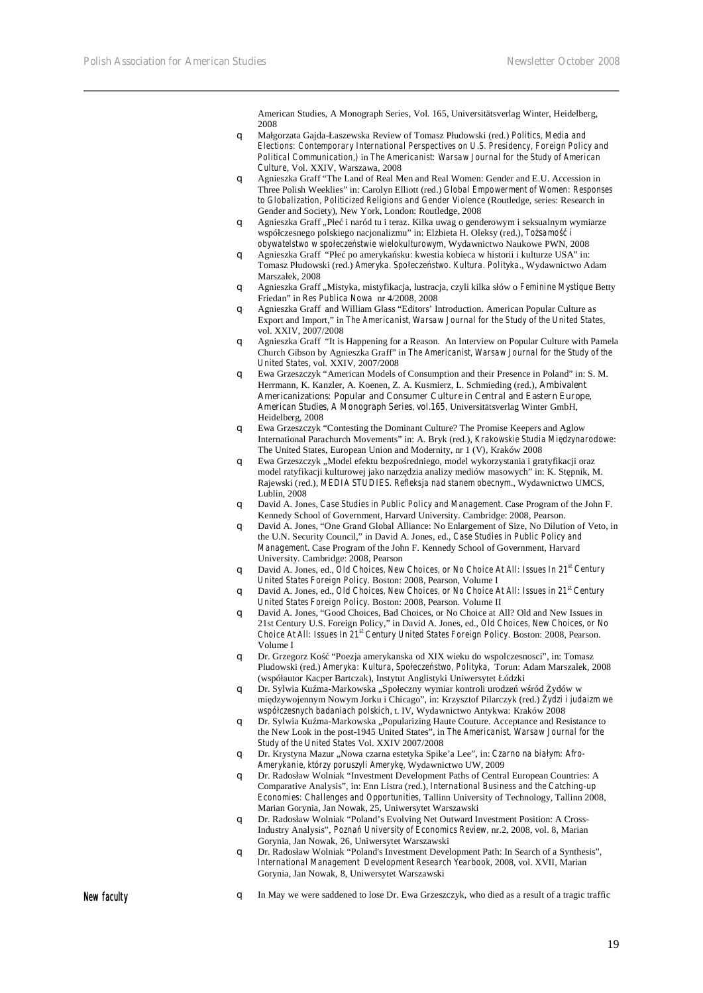American Studies, A Monograph Series, Vol. 165, Universitätsverlag Winter, Heidelberg, 2008

- q Małgorzata Gajda-Łaszewska Review of Tomasz Płudowski (red.) *Politics, Media and Elections: Contemporary International Perspectives on U.S. Presidency, Foreign Policy and Political Communication,)* in *The Americanist: Warsaw Journal for the Study of American Culture*, Vol. XXIV, Warszawa, 2008
- q Agnieszka Graff "The Land of Real Men and Real Women: Gender and E.U. Accession in Three Polish Weeklies" in: Carolyn Elliott (red.) *Global Empowerment of Women: Responses to Globalization, Politicized Religions and Gender Violence* (Routledge, series: Research in Gender and Society), New York, London: Routledge, 2008
- q Agnieszka Graff "Płe i naród tu i teraz. Kilka uwag o genderowym i seksualnym wymiarze współczesnego polskiego nacjonalizmu" in: El bieta H. Oleksy (red.), *To samo obywatelstwo w społeczeństwie wielokulturowym*, Wydawnictwo Naukowe PWN, 2008
- q Agnieszka Graff "Płe po ameryka sku: kwestia kobieca w historii i kulturze USA" in: Tomasz Płudowski (red.) *Ameryka. Społeczeństwo. Kultura. Polityka.*, Wydawnictwo Adam Marszałek, 2008
- q Agnieszka Graff "Mistyka, mistyfikacja, lustracja, czyli kilka słów o *Feminine Mystique* Betty Friedan" in *Res Publica Nowa* nr 4/2008, 2008
- q Agnieszka Graff and William Glass "Editors' Introduction. American Popular Culture as Export and Import," in *The Americanist, Warsaw Journal for the Study of the United States*, vol. XXIV, 2007/2008
- q Agnieszka Graff "It is Happening for a Reason. An Interview on Popular Culture with Pamela Church Gibson by Agnieszka Graff" in *The Americanist, Warsaw Journal for the Study of the United States*, vol. XXIV, 2007/2008
- q Ewa Grzeszczyk "American Models of Consumption and their Presence in Poland" in: S. M. Herrmann, K. Kanzler, A. Koenen, Z. A. Kusmierz, L. Schmieding (red.), **Ambivalent Americanizations***:* **Popular and Consumer Culture in Central and Eastern Europe,**  *American Studies, A Monograph Series, vol.165,* Universitätsverlag Winter GmbH, Heidelberg, 2008
- q Ewa Grzeszczyk "Contesting the Dominant Culture? The Promise Keepers and Aglow International Parachurch Movements" in: A. Bryk (red.), *Krakowskie Studia Międzynarodowe*: The United States, European Union and Modernity, nr 1 (V), Kraków 2008
- q Ewa Grzeszczyk "Model efektu bezpo redniego, model wykorzystania i gratyfikacji oraz model ratyfikacji kulturowej jako narz dzia analizy mediów masowych" in: K. St pnik, M. Rajewski (red.), *MEDIA STUDIES. Refleksja nad stanem obecnym.*, Wydawnictwo UMCS, Lublin, 2008
- q David A. Jones, *Case Studies in Public Policy and Management*. Case Program of the John F. Kennedy School of Government, Harvard University. Cambridge: 2008, Pearson.
- q David A. Jones, "One Grand Global Alliance: No Enlargement of Size, No Dilution of Veto, in the U.N. Security Council," in David A. Jones, ed., *Case Studies in Public Policy and Management*. Case Program of the John F. Kennedy School of Government, Harvard University. Cambridge: 2008, Pearson
- q David A. Jones, ed., *Old Choices, New Choices, or No Choice At All: Issues In 21st Century United States Foreign Policy*. Boston: 2008, Pearson, Volume I
- q David A. Jones, ed., *Old Choices, New Choices, or No Choice At All: Issues in 21st Century United States Foreign Policy*. Boston: 2008, Pearson. Volume II
- q David A. Jones, "Good Choices, Bad Choices, or No Choice at All? Old and New Issues in 21st Century U.S. Foreign Policy," in David A. Jones, ed., *Old Choices, New Choices, or No Choice At All: Issues In 21st Century United States Foreign Policy*. Boston: 2008, Pearson. Volume I
- q Dr. Grzegorz Kość "Poezja amerykanska od XIX wieku do wspolczesnosci", in: Tomasz Pludowski (red.) *Ameryka: Kultura, Społecze stwo, Polityka, Torun: Adam Marszalek, 2008* (współautor Kacper Bartczak), Instytut Anglistyki Uniwersytet Łódzki
- q Dr. Sylwia Ku ma-Markowska "Społeczny wymiar kontroli urodze w ród ydów w mi dzywojennym Nowym Jorku i Chicago", in: Krzysztof Pilarczyk (red.) *ydzi i judaizm we współczesnych badaniach polskich*, t. IV, Wydawnictwo Antykwa: Kraków 2008
- q Dr. Sylwia Ku ma-Markowska "Popularizing Haute Couture. Acceptance and Resistance to the New Look in the post-1945 United States", in *The Americanist, Warsaw Journal for the Study of the United States* Vol. XXIV 2007/2008
- q Dr. Krystyna Mazur "Nowa czarna estetyka Spike'a Lee", in: *Czarno na białym: Afro-Amerykanie, którzy poruszyli Amerykę,* Wydawnictwo UW, 2009
- q Dr. Radosław Wolniak "Investment Development Paths of Central European Countries: A Comparative Analysis", in: Enn Listra (red.), *International Business and the Catching-up Economies: Challenges and Opportunities,* Tallinn University of Technology, Tallinn 2008, Marian Gorynia, Jan Nowak, 25, Uniwersytet Warszawski
- q Dr. Radosław Wolniak "Poland's Evolving Net Outward Investment Position: A Cross-Industry Analysis", *Poznań University of Economics Review,* nr.2, 2008, vol. 8, Marian Gorynia, Jan Nowak, 26, Uniwersytet Warszawski
- q Dr. Radosław Wolniak "Poland's Investment Development Path: In Search of a Synthesis", *International Management Development Research Yearbook,* 2008, vol. XVII, Marian Gorynia, Jan Nowak, 8, Uniwersytet Warszawski

New faculty **New faculty q** In May we were saddened to lose Dr. Ewa Grzeszczyk, who died as a result of a tragic traffic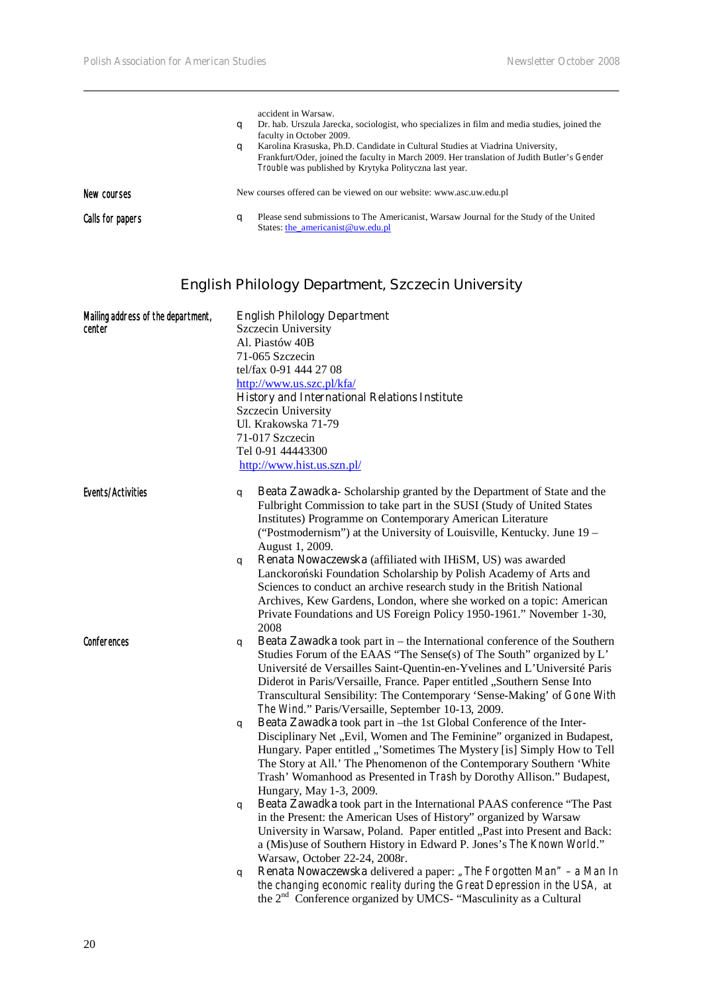|                  | a<br>a | accident in Warsaw.<br>Dr. hab. Urszula Jarecka, sociologist, who specializes in film and media studies, joined the<br>faculty in October 2009.<br>Karolina Krasuska, Ph.D. Candidate in Cultural Studies at Viadrina University,<br>Frankfurt/Oder, joined the faculty in March 2009. Her translation of Judith Butler's Gender<br>Trouble was published by Krytyka Polityczna last year. |
|------------------|--------|--------------------------------------------------------------------------------------------------------------------------------------------------------------------------------------------------------------------------------------------------------------------------------------------------------------------------------------------------------------------------------------------|
| New courses      |        | New courses offered can be viewed on our website: www.asc.uw.edu.pl                                                                                                                                                                                                                                                                                                                        |
| Calls for papers | a      | Please send submissions to The Americanist, Warsaw Journal for the Study of the United<br>States: the_americanist@uw.edu.pl                                                                                                                                                                                                                                                                |

# **English Philology Department, Szczecin University**

| Mailing address of the department, | <b>English Philology Department</b>                  |                                                                                                                                                                                                                                                                                                                                                                                                                                                    |  |
|------------------------------------|------------------------------------------------------|----------------------------------------------------------------------------------------------------------------------------------------------------------------------------------------------------------------------------------------------------------------------------------------------------------------------------------------------------------------------------------------------------------------------------------------------------|--|
| center                             |                                                      | Szczecin University                                                                                                                                                                                                                                                                                                                                                                                                                                |  |
|                                    | Al. Piastów 40B                                      |                                                                                                                                                                                                                                                                                                                                                                                                                                                    |  |
|                                    |                                                      | 71-065 Szczecin                                                                                                                                                                                                                                                                                                                                                                                                                                    |  |
|                                    | tel/fax 0-91 444 27 08                               |                                                                                                                                                                                                                                                                                                                                                                                                                                                    |  |
|                                    |                                                      | http://www.us.szc.pl/kfa/                                                                                                                                                                                                                                                                                                                                                                                                                          |  |
|                                    | <b>History and International Relations Institute</b> |                                                                                                                                                                                                                                                                                                                                                                                                                                                    |  |
|                                    | Szczecin University                                  |                                                                                                                                                                                                                                                                                                                                                                                                                                                    |  |
|                                    | Ul. Krakowska 71-79                                  |                                                                                                                                                                                                                                                                                                                                                                                                                                                    |  |
|                                    | 71-017 Szczecin                                      |                                                                                                                                                                                                                                                                                                                                                                                                                                                    |  |
|                                    | Tel 0-91 44443300                                    |                                                                                                                                                                                                                                                                                                                                                                                                                                                    |  |
|                                    |                                                      | http://www.hist.us.szn.pl/                                                                                                                                                                                                                                                                                                                                                                                                                         |  |
| Events/Activities                  | q                                                    | Beata Zawadka-Scholarship granted by the Department of State and the<br>Fulbright Commission to take part in the SUSI (Study of United States<br>Institutes) Programme on Contemporary American Literature<br>("Postmodernism") at the University of Louisville, Kentucky. June 19 -                                                                                                                                                               |  |
|                                    | q                                                    | August 1, 2009.<br>Renata Nowaczewska (affiliated with IHiSM, US) was awarded<br>Lanckoro ski Foundation Scholarship by Polish Academy of Arts and                                                                                                                                                                                                                                                                                                 |  |
|                                    |                                                      | Sciences to conduct an archive research study in the British National<br>Archives, Kew Gardens, London, where she worked on a topic: American<br>Private Foundations and US Foreign Policy 1950-1961." November 1-30,<br>2008                                                                                                                                                                                                                      |  |
| Conferences                        | q                                                    | <b>Beata Zawadka</b> took part in – the International conference of the Southern<br>Studies Forum of the EAAS "The Sense(s) of The South" organized by L'<br>Université de Versailles Saint-Quentin-en-Yvelines and L'Université Paris<br>Diderot in Paris/Versaille, France. Paper entitled "Southern Sense Into<br>Transcultural Sensibility: The Contemporary 'Sense-Making' of Gone With<br>The Wind." Paris/Versaille, September 10-13, 2009. |  |
|                                    | q                                                    | Beata Zawadka took part in -the 1st Global Conference of the Inter-<br>Disciplinary Net "Evil, Women and The Feminine" organized in Budapest,<br>Hungary. Paper entitled "'Sometimes The Mystery [is] Simply How to Tell<br>The Story at All.' The Phenomenon of the Contemporary Southern 'White<br>Trash' Womanhood as Presented in Trash by Dorothy Allison." Budapest,<br>Hungary, May 1-3, 2009.                                              |  |
|                                    | q                                                    | Beata Zawadka took part in the International PAAS conference "The Past<br>in the Present: the American Uses of History" organized by Warsaw<br>University in Warsaw, Poland. Paper entitled "Past into Present and Back:<br>a (Mis)use of Southern History in Edward P. Jones's The Known World."<br>Warsaw, October 22-24, 2008r.                                                                                                                 |  |
|                                    | q                                                    | <b>Renata Nowaczewska</b> delivered a paper: "The Forgotten Man" – a Man In<br>the changing economic reality during the Great Depression in the USA, at<br>the 2 <sup>nd</sup> Conference organized by UMCS- "Masculinity as a Cultural                                                                                                                                                                                                            |  |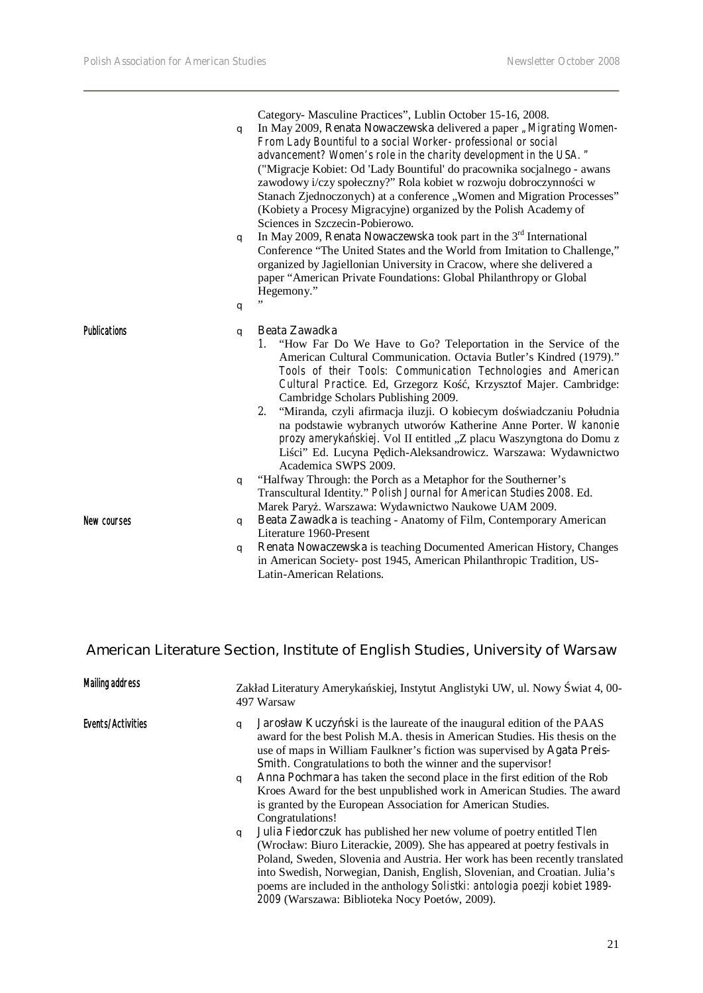$\overline{\phantom{a}}$ 

|                     | q<br>q<br>q | Category- Masculine Practices", Lublin October 15-16, 2008.<br>In May 2009, Renata Nowaczewska delivered a paper "Migrating Women-<br>From Lady Bountiful to a social Worker-professional or social<br>advancement? Women's role in the charity development in the USA. "<br>("Migracje Kobiet: Od 'Lady Bountiful' do pracownika socjalnego - awans<br>zawodowy i/czy społeczny?" Rola kobiet w rozwoju dobroczynno ci w<br>Stanach Zjednoczonych) at a conference "Women and Migration Processes"<br>(Kobiety a Procesy Migracyjne) organized by the Polish Academy of<br>Sciences in Szczecin-Pobierowo.<br>In May 2009, Renata Nowaczewska took part in the $3rd$ International<br>Conference "The United States and the World from Imitation to Challenge,"<br>organized by Jagiellonian University in Cracow, where she delivered a<br>paper "American Private Foundations: Global Philanthropy or Global<br>Hegemony." |
|---------------------|-------------|-------------------------------------------------------------------------------------------------------------------------------------------------------------------------------------------------------------------------------------------------------------------------------------------------------------------------------------------------------------------------------------------------------------------------------------------------------------------------------------------------------------------------------------------------------------------------------------------------------------------------------------------------------------------------------------------------------------------------------------------------------------------------------------------------------------------------------------------------------------------------------------------------------------------------------|
| <b>Publications</b> | q           | <b>Beata Zawadka</b><br>1. "How Far Do We Have to Go? Teleportation in the Service of the<br>American Cultural Communication. Octavia Butler's Kindred (1979)."<br>Tools of their Tools: Communication Technologies and American<br>Cultural Practice. Ed, Grzegorz Ko, Krzysztof Majer. Cambridge:<br>Cambridge Scholars Publishing 2009.<br>2. "Miranda, czyli afirmacja iluzji. O kobiecym do wiadczaniu Południa<br>na podstawie wybranych utworów Katherine Anne Porter. W kanonie<br>prozy ameryka skiej. Vol II entitled "Z placu Waszyngtona do Domu z<br>Li ci" Ed. Lucyna P dich-Aleksandrowicz. Warszawa: Wydawnictwo<br>Academica SWPS 2009.                                                                                                                                                                                                                                                                      |
|                     | q           | "Halfway Through: the Porch as a Metaphor for the Southerner's<br>Transcultural Identity." Polish Journal for American Studies 2008. Ed.<br>Marek Pary . Warszawa: Wydawnictwo Naukowe UAM 2009.                                                                                                                                                                                                                                                                                                                                                                                                                                                                                                                                                                                                                                                                                                                              |
| New courses         | q           | Beata Zawadka is teaching - Anatomy of Film, Contemporary American<br>Literature 1960-Present                                                                                                                                                                                                                                                                                                                                                                                                                                                                                                                                                                                                                                                                                                                                                                                                                                 |
|                     | q           | Renata Nowaczewska is teaching Documented American History, Changes<br>in American Society- post 1945, American Philanthropic Tradition, US-<br>Latin-American Relations.                                                                                                                                                                                                                                                                                                                                                                                                                                                                                                                                                                                                                                                                                                                                                     |

### **American Literature Section, Institute of English Studies, University of Warsaw**

| <b>Mailing address</b> |        | Zakład Literatury Ameryka skiej, Instytut Anglistyki UW, ul. Nowy wiat 4,00-<br>497 Warsaw                                                                                                                                                                                                                                                                                                                                                                                                                                                                     |
|------------------------|--------|----------------------------------------------------------------------------------------------------------------------------------------------------------------------------------------------------------------------------------------------------------------------------------------------------------------------------------------------------------------------------------------------------------------------------------------------------------------------------------------------------------------------------------------------------------------|
| Events/Activities      | a<br>q | <b>Jarosław Kuczy ski</b> is the laureate of the inaugural edition of the PAAS<br>award for the best Polish M.A. thesis in American Studies. His thesis on the<br>use of maps in William Faulkner's fiction was supervised by Agata Preis-<br><b>Smith.</b> Congratulations to both the winner and the supervisor!<br>Anna Pochmara has taken the second place in the first edition of the Rob<br>Kroes Award for the best unpublished work in American Studies. The award<br>is granted by the European Association for American Studies.<br>Congratulations! |
|                        | q      | Julia Fiedorczuk has published her new volume of poetry entitled Tlen<br>(Wrocław: Biuro Literackie, 2009). She has appeared at poetry festivals in<br>Poland, Sweden, Slovenia and Austria. Her work has been recently translated<br>into Swedish, Norwegian, Danish, English, Slovenian, and Croatian. Julia's<br>poems are included in the anthology Solistki: antologia poezji kobiet 1989-<br>2009 (Warszawa: Biblioteka Nocy Poetów, 2009).                                                                                                              |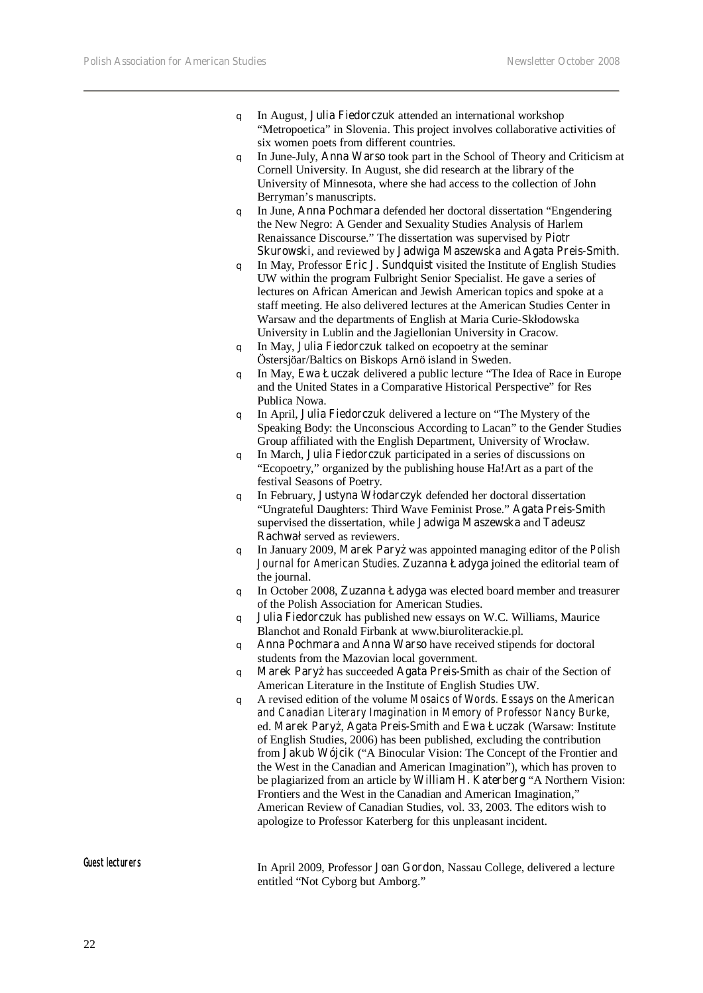- q In August, **Julia Fiedorczuk** attended an international workshop "Metropoetica" in Slovenia. This project involves collaborative activities of six women poets from different countries.
- q In June-July, **Anna Warso** took part in the School of Theory and Criticism at Cornell University. In August, she did research at the library of the University of Minnesota, where she had access to the collection of John Berryman's manuscripts.
- q In June, **Anna Pochmara** defended her doctoral dissertation "Engendering the New Negro: A Gender and Sexuality Studies Analysis of Harlem Renaissance Discourse." The dissertation was supervised by **Piotr Skurowski**, and reviewed by **Jadwiga Maszewska** and **Agata Preis-Smith**.
- q In May, Professor **Eric J. Sundquist** visited the Institute of English Studies UW within the program Fulbright Senior Specialist. He gave a series of lectures on African American and Jewish American topics and spoke at a staff meeting. He also delivered lectures at the American Studies Center in Warsaw and the departments of English at Maria Curie-Skłodowska University in Lublin and the Jagiellonian University in Cracow.
- q In May, **Julia Fiedorczuk** talked on ecopoetry at the seminar Östersjöar/Baltics on Biskops Arnö island in Sweden.
- q In May, **Ewa Łuczak** delivered a public lecture "The Idea of Race in Europe and the United States in a Comparative Historical Perspective" for Res Publica Nowa.
- q In April, **Julia Fiedorczuk** delivered a lecture on "The Mystery of the Speaking Body: the Unconscious According to Lacan" to the Gender Studies Group affiliated with the English Department, University of Wrocław.
- q In March, **Julia Fiedorczuk** participated in a series of discussions on "Ecopoetry," organized by the publishing house Ha!Art as a part of the festival Seasons of Poetry.
- q In February, **Justyna Włodarczyk** defended her doctoral dissertation "Ungrateful Daughters: Third Wave Feminist Prose." **Agata Preis-Smith** supervised the dissertation, while **Jadwiga Maszewska** and **Tadeusz Rachwał** served as reviewers.
- q In January 2009, **Marek Paryż** was appointed managing editor of the *Polish Journal for American Studies*. **Zuzanna Ładyga** joined the editorial team of the journal.
- q In October 2008, **Zuzanna Ładyga** was elected board member and treasurer of the Polish Association for American Studies.
- q **Julia Fiedorczuk** has published new essays on W.C. Williams, Maurice Blanchot and Ronald Firbank at www.biuroliterackie.pl.
- q **Anna Pochmara** and **Anna Warso** have received stipends for doctoral students from the Mazovian local government.
- q **Marek Paryż** has succeeded **Agata Preis-Smith** as chair of the Section of American Literature in the Institute of English Studies UW.
- q A revised edition of the volume *Mosaics of Words. Essays on the American and Canadian Literary Imagination in Memory of Professor Nancy Burke*, ed. Marek Pary, Agata Preis-Smith and Ewa Łuczak (Warsaw: Institute of English Studies, 2006) has been published, excluding the contribution from **Jakub Wójcik** ("A Binocular Vision: The Concept of the Frontier and the West in the Canadian and American Imagination"), which has proven to be plagiarized from an article by **William H. Katerberg** "A Northern Vision: Frontiers and the West in the Canadian and American Imagination," American Review of Canadian Studies, vol. 33, 2003. The editors wish to apologize to Professor Katerberg for this unpleasant incident.

Guest lecturers In April 2009, Professor **Joan Gordon**, Nassau College, delivered a lecture entitled "Not Cyborg but Amborg."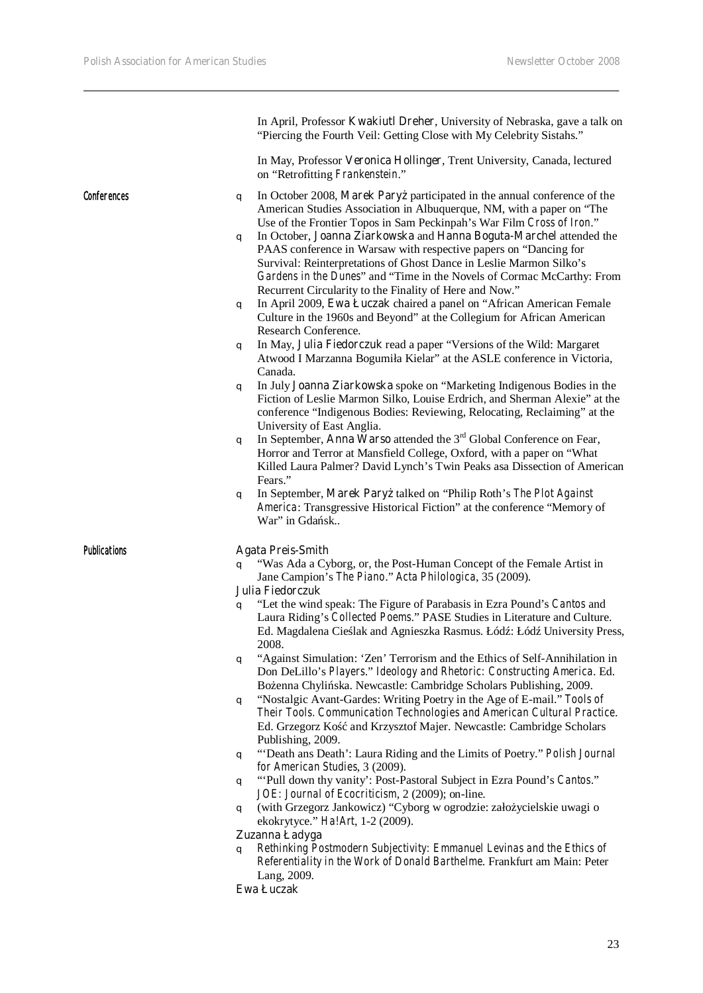|                     | In April, Professor Kwakiutl Dreher, University of Nebraska, gave a talk on<br>"Piercing the Fourth Veil: Getting Close with My Celebrity Sistahs."                                                                                                                                                                                                                                                                                                                                                                                                                                                                                                                                                                                                                                                                                                                                                                                                                                                                                                                                                                                                                                                                                                                                                                                                                                                                                                                                                                                                                                                                        |
|---------------------|----------------------------------------------------------------------------------------------------------------------------------------------------------------------------------------------------------------------------------------------------------------------------------------------------------------------------------------------------------------------------------------------------------------------------------------------------------------------------------------------------------------------------------------------------------------------------------------------------------------------------------------------------------------------------------------------------------------------------------------------------------------------------------------------------------------------------------------------------------------------------------------------------------------------------------------------------------------------------------------------------------------------------------------------------------------------------------------------------------------------------------------------------------------------------------------------------------------------------------------------------------------------------------------------------------------------------------------------------------------------------------------------------------------------------------------------------------------------------------------------------------------------------------------------------------------------------------------------------------------------------|
|                     | In May, Professor Veronica Hollinger, Trent University, Canada, lectured<br>on "Retrofitting Frankenstein."                                                                                                                                                                                                                                                                                                                                                                                                                                                                                                                                                                                                                                                                                                                                                                                                                                                                                                                                                                                                                                                                                                                                                                                                                                                                                                                                                                                                                                                                                                                |
| Conferences         | In October 2008, Marek Pary participated in the annual conference of the<br>q<br>American Studies Association in Albuquerque, NM, with a paper on "The<br>Use of the Frontier Topos in Sam Peckinpah's War Film Cross of Iron."<br>In October, Joanna Ziarkowska and Hanna Boguta-Marchel attended the<br>q<br>PAAS conference in Warsaw with respective papers on "Dancing for<br>Survival: Reinterpretations of Ghost Dance in Leslie Marmon Silko's<br>Gardens in the Dunes" and "Time in the Novels of Cormac McCarthy: From<br>Recurrent Circularity to the Finality of Here and Now."<br>In April 2009, Ewa Łuczak chaired a panel on "African American Female<br>q<br>Culture in the 1960s and Beyond" at the Collegium for African American<br>Research Conference.<br>In May, Julia Fiedorczuk read a paper "Versions of the Wild: Margaret<br>q<br>Atwood I Marzanna Bogumiła Kielar" at the ASLE conference in Victoria,<br>Canada.<br>In July Joanna Ziarkowska spoke on "Marketing Indigenous Bodies in the<br>q<br>Fiction of Leslie Marmon Silko, Louise Erdrich, and Sherman Alexie" at the<br>conference "Indigenous Bodies: Reviewing, Relocating, Reclaiming" at the<br>University of East Anglia.<br>In September, Anna Warso attended the $3rd$ Global Conference on Fear,<br>q<br>Horror and Terror at Mansfield College, Oxford, with a paper on "What<br>Killed Laura Palmer? David Lynch's Twin Peaks asa Dissection of American<br>Fears."<br>In September, Marek Pary talked on "Philip Roth's The Plot Against<br>q<br>America: Transgressive Historical Fiction" at the conference "Memory of |
| <b>Publications</b> | War" in Gda sk<br><b>Agata Preis-Smith</b><br>"Was Ada a Cyborg, or, the Post-Human Concept of the Female Artist in<br>$\alpha$<br>Jane Campion's The Piano." Acta Philologica, 35 (2009).<br>Julia Fiedorczuk<br>"Let the wind speak: The Figure of Parabasis in Ezra Pound's Cantos and<br>q<br>Laura Riding's Collected Poems." PASE Studies in Literature and Culture.<br>Ed. Magdalena Cie lak and Agnieszka Rasmus. Łód : Łód University Press,<br>2008.                                                                                                                                                                                                                                                                                                                                                                                                                                                                                                                                                                                                                                                                                                                                                                                                                                                                                                                                                                                                                                                                                                                                                             |
|                     | "Against Simulation: 'Zen' Terrorism and the Ethics of Self-Annihilation in<br>q<br>Don DeLillo's Players." Ideology and Rhetoric: Constructing America. Ed.<br>Bo enna Chyli ska. Newcastle: Cambridge Scholars Publishing, 2009.<br>"Nostalgic Avant-Gardes: Writing Poetry in the Age of E-mail." Tools of<br>q<br>Their Tools. Communication Technologies and American Cultural Practice.<br>Ed. Grzegorz Ko<br>and Krzysztof Majer. Newcastle: Cambridge Scholars<br>Publishing, 2009.<br>"Death ans Death': Laura Riding and the Limits of Poetry." Polish Journal<br>q<br>for American Studies, 3 (2009).<br>"'Pull down thy vanity': Post-Pastoral Subject in Ezra Pound's Cantos."<br>q<br>JOE: Journal of Ecocriticism, 2 (2009); on-line.<br>(with Grzegorz Jankowicz) "Cyborg w ogrodzie: zało ycielskie uwagi o<br>q<br>ekokrytyce." Ha!Art, 1-2 (2009).                                                                                                                                                                                                                                                                                                                                                                                                                                                                                                                                                                                                                                                                                                                                                      |
|                     | Zuzanna Ładyga<br>Rethinking Postmodern Subjectivity: Emmanuel Levinas and the Ethics of<br>q<br>Referentiality in the Work of Donald Barthelme. Frankfurt am Main: Peter<br>Lang, 2009.                                                                                                                                                                                                                                                                                                                                                                                                                                                                                                                                                                                                                                                                                                                                                                                                                                                                                                                                                                                                                                                                                                                                                                                                                                                                                                                                                                                                                                   |

**Ewa Łuczak**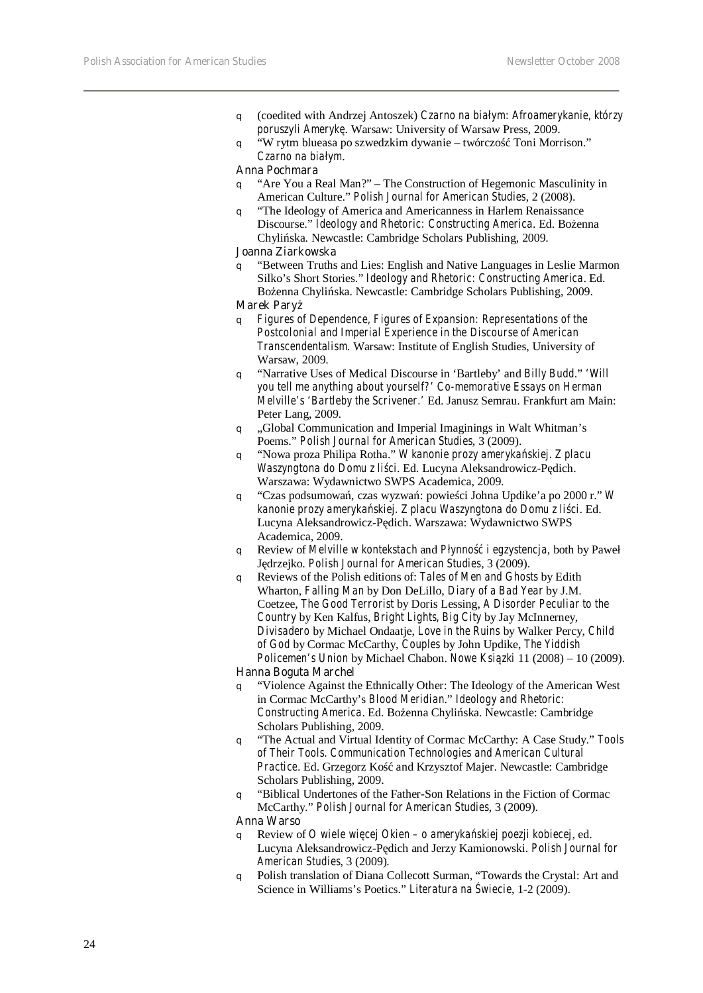- q (coedited with Andrzej Antoszek) *Czarno na białym: Afroamerykanie, którzy poruszyli Amerykę*. Warsaw: University of Warsaw Press, 2009.
- q "W rytm blueasa po szwedzkim dywanie twórczo Toni Morrison." *Czarno na białym*.

#### **Anna Pochmara**

- q "Are You a Real Man?" The Construction of Hegemonic Masculinity in American Culture." *Polish Journal for American Studies*, 2 (2008).
- q "The Ideology of America and Americanness in Harlem Renaissance Discourse." *Ideology and Rhetoric: Constructing America*. Ed. Bo enna Chylińska. Newcastle: Cambridge Scholars Publishing, 2009.

#### **Joanna Ziarkowska**

q "Between Truths and Lies: English and Native Languages in Leslie Marmon Silko's Short Stories." *Ideology and Rhetoric: Constructing America*. Ed. Bo enna Chyli ska. Newcastle: Cambridge Scholars Publishing, 2009.

#### **Marek Pary**

- q *Figures of Dependence, Figures of Expansion: Representations of the Postcolonial and Imperial Experience in the Discourse of American Transcendentalism*. Warsaw: Institute of English Studies, University of Warsaw, 2009.
- q "Narrative Uses of Medical Discourse in 'Bartleby' and *Billy Budd*." *'Will you tell me anything about yourself?' Co-memorative Essays on Herman Melville's 'Bartleby the Scrivener.'* Ed. Janusz Semrau. Frankfurt am Main: Peter Lang, 2009.
- q "Global Communication and Imperial Imaginings in Walt Whitman's Poems." *Polish Journal for American Studies*, 3 (2009).
- q "Nowa proza Philipa Rotha." *W kanonie prozy amerykańskiej. Z placu Waszyngtona do Domu z li ci*. Ed. Lucyna Aleksandrowicz-P dich. Warszawa: Wydawnictwo SWPS Academica, 2009.
- q "Czas podsumowań, czas wyzwań: powieści Johna Updike'a po 2000 r." *W*  kanonie prozy ameryka skiej. Z placu Waszyngtona do Domu z li ci. Ed. Lucyna Aleksandrowicz-P dich. Warszawa: Wydawnictwo SWPS Academica, 2009.
- q Review of *Melville w kontekstach* and *Płynność i egzystencja*, both by Paweł Jędrzejko. *Polish Journal for American Studies*, 3 (2009).
- q Reviews of the Polish editions of: *Tales of Men and Ghosts* by Edith Wharton, *Falling Man* by Don DeLillo, *Diary of a Bad Year* by J.M. Coetzee, *The Good Terrorist* by Doris Lessing, *A Disorder Peculiar to the Country* by Ken Kalfus, *Bright Lights, Big City* by Jay McInnerney, *Divisadero* by Michael Ondaatje, *Love in the Ruins* by Walker Percy, *Child of God* by Cormac McCarthy, *Couples* by John Updike, *The Yiddish Policemen's Union* by Michael Chabon. *Nowe Ksi zki* 11 (2008) – 10 (2009).

#### **Hanna Boguta Marchel**

- q "Violence Against the Ethnically Other: The Ideology of the American West in Cormac McCarthy's *Blood Meridian*." *Ideology and Rhetoric: Constructing America*. Ed. Bo enna Chyli ska. Newcastle: Cambridge Scholars Publishing, 2009.
- q "The Actual and Virtual Identity of Cormac McCarthy: A Case Study." *Tools of Their Tools. Communication Technologies and American Cultural*  Practice. Ed. Grzegorz Ko and Krzysztof Majer. Newcastle: Cambridge Scholars Publishing, 2009.
- q "Biblical Undertones of the Father-Son Relations in the Fiction of Cormac McCarthy." *Polish Journal for American Studies*, 3 (2009).

#### **Anna Warso**

- q Review of *O wiele więcej Okien o amerykańskiej poezji kobiecej*, ed. Lucyna Aleksandrowicz-P dich and Jerzy Kamionowski. *Polish Journal for American Studies*, 3 (2009).
- q Polish translation of Diana Collecott Surman, "Towards the Crystal: Art and Science in Williams's Poetics." *Literatura na wiecie*, 1-2 (2009).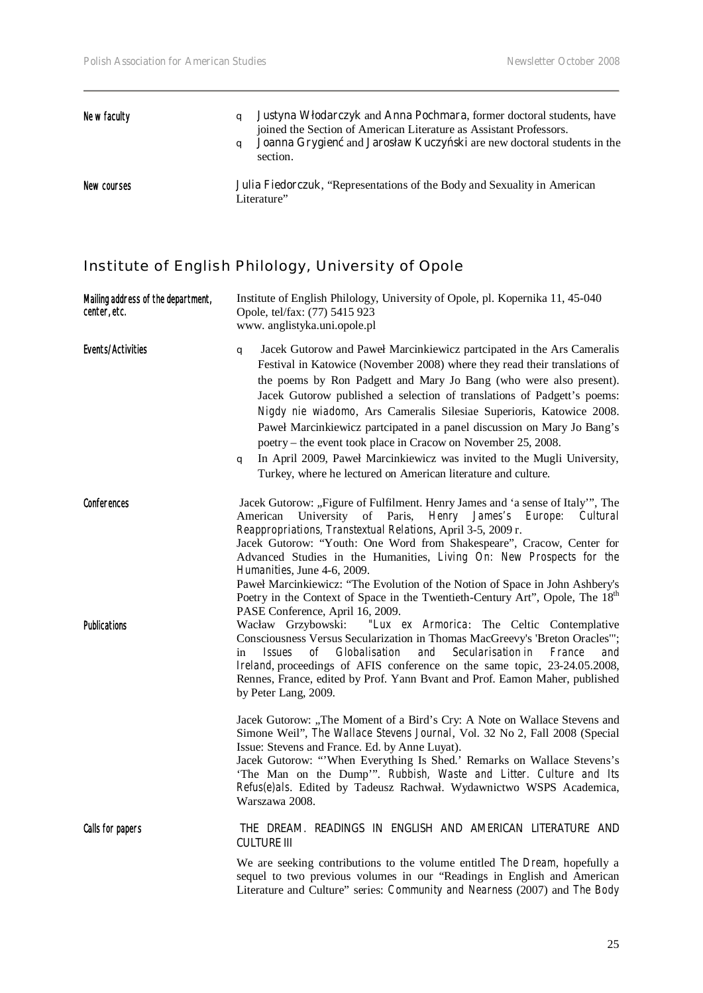| Ne w faculty | a | <b>Justyna Włodarczyk and Anna Pochmara</b> , former doctoral students, have<br>joined the Section of American Literature as Assistant Professors.<br>Joanna Grygien and Jarosław Kuczy ski are new doctoral students in the<br>section. |
|--------------|---|------------------------------------------------------------------------------------------------------------------------------------------------------------------------------------------------------------------------------------------|
| New courses  |   | <b>Julia Fiedorczuk, "Representations of the Body and Sexuality in American</b><br>Literature"                                                                                                                                           |

# Institute of English Philology, University of Opole

| Mailing address of the department,<br>center, etc. | Institute of English Philology, University of Opole, pl. Kopernika 11, 45-040<br>Opole, tel/fax: (77) 5415 923<br>www. anglistyka.uni.opole.pl                                                                                                                                                                                                                                                                                                                                                                                                                                                                                                                                                                                 |  |
|----------------------------------------------------|--------------------------------------------------------------------------------------------------------------------------------------------------------------------------------------------------------------------------------------------------------------------------------------------------------------------------------------------------------------------------------------------------------------------------------------------------------------------------------------------------------------------------------------------------------------------------------------------------------------------------------------------------------------------------------------------------------------------------------|--|
| <b>Events/Activities</b>                           | Jacek Gutorow and Paweł Marcinkiewicz partcipated in the Ars Cameralis<br>q<br>Festival in Katowice (November 2008) where they read their translations of<br>the poems by Ron Padgett and Mary Jo Bang (who were also present).<br>Jacek Gutorow published a selection of translations of Padgett's poems:<br>Nigdy nie wiadomo, Ars Cameralis Silesiae Superioris, Katowice 2008.<br>Paweł Marcinkiewicz partcipated in a panel discussion on Mary Jo Bang's<br>poetry – the event took place in Cracow on November 25, 2008.<br>In April 2009, Paweł Marcinkiewicz was invited to the Mugli University,<br>q<br>Turkey, where he lectured on American literature and culture.                                                |  |
| Conferences                                        | Jacek Gutorow: "Figure of Fulfilment. Henry James and 'a sense of Italy"', The<br>of Paris,<br>American<br>University<br>Henry<br>James's Europe:<br>Cultural<br>Reappropriations, Transtextual Relations, April 3-5, 2009 r.<br>Jacek Gutorow: "Youth: One Word from Shakespeare", Cracow, Center for<br>Advanced Studies in the Humanities, Living On: New Prospects for the<br>Humanities, June 4-6, 2009.<br>Paweł Marcinkiewicz: "The Evolution of the Notion of Space in John Ashbery's<br>Poetry in the Context of Space in the Twentieth-Century Art", Opole, The 18 <sup>th</sup><br>PASE Conference, April 16, 2009.                                                                                                 |  |
| <b>Publications</b>                                | Wacław Grzybowski:<br>"Lux ex Armorica: The Celtic Contemplative<br>Consciousness Versus Secularization in Thomas MacGreevy's 'Breton Oracles'";<br><i>Issues</i><br>of<br><i>Globalisation</i><br>and<br>Secularisation in<br>France<br>in<br>and<br>Ireland, proceedings of AFIS conference on the same topic, 23-24.05.2008,<br>Rennes, France, edited by Prof. Yann Bvant and Prof. Eamon Maher, published<br>by Peter Lang, 2009.<br>Jacek Gutorow: "The Moment of a Bird's Cry: A Note on Wallace Stevens and<br>Simone Weil", The Wallace Stevens Journal, Vol. 32 No 2, Fall 2008 (Special<br>Issue: Stevens and France. Ed. by Anne Luyat).<br>Jacek Gutorow: "When Everything Is Shed.' Remarks on Wallace Stevens's |  |
|                                                    | 'The Man on the Dump'". Rubbish, Waste and Litter. Culture and Its<br>Refus(e)als. Edited by Tadeusz Rachwał. Wydawnictwo WSPS Academica,<br>Warszawa 2008.                                                                                                                                                                                                                                                                                                                                                                                                                                                                                                                                                                    |  |
| <b>Calls for papers</b>                            | THE DREAM. READINGS IN ENGLISH AND AMERICAN LITERATURE AND<br>CULTURE III                                                                                                                                                                                                                                                                                                                                                                                                                                                                                                                                                                                                                                                      |  |
|                                                    | We are seeking contributions to the volume entitled The Dream, hopefully a<br>sequel to two previous volumes in our "Readings in English and American<br>Literature and Culture" series: Community and Nearness (2007) and The Body                                                                                                                                                                                                                                                                                                                                                                                                                                                                                            |  |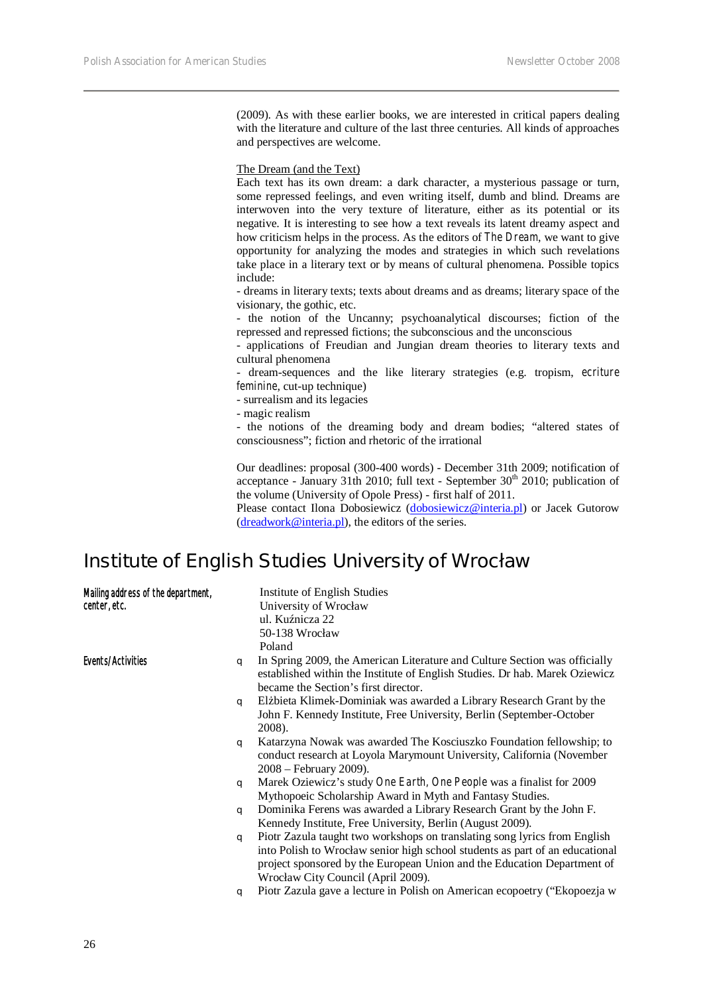(2009). As with these earlier books, we are interested in critical papers dealing with the literature and culture of the last three centuries. All kinds of approaches and perspectives are welcome.

The Dream (and the Text)

Each text has its own dream: a dark character, a mysterious passage or turn, some repressed feelings, and even writing itself, dumb and blind. Dreams are interwoven into the very texture of literature, either as its potential or its negative. It is interesting to see how a text reveals its latent dreamy aspect and how criticism helps in the process. As the editors of *The Dream*, we want to give opportunity for analyzing the modes and strategies in which such revelations take place in a literary text or by means of cultural phenomena. Possible topics include:

- dreams in literary texts; texts about dreams and as dreams; literary space of the visionary, the gothic, etc.

- the notion of the Uncanny; psychoanalytical discourses; fiction of the repressed and repressed fictions; the subconscious and the unconscious

- applications of Freudian and Jungian dream theories to literary texts and cultural phenomena

- dream-sequences and the like literary strategies (e.g. tropism, *ecriture feminine*, cut-up technique)

- surrealism and its legacies

- magic realism

- the notions of the dreaming body and dream bodies; "altered states of consciousness"; fiction and rhetoric of the irrational

Our deadlines: proposal (300-400 words) - December 31th 2009; notification of acceptance - January 31th 2010; full text - September  $30<sup>th</sup>$  2010; publication of the volume (University of Opole Press) - first half of 2011.

Please contact Ilona Dobosiewicz (dobosiewicz@interia.pl) or Jacek Gutorow  $(dreadwork@interia.pl)$ , the editors of the series.

# **Institute of English Studies University of Wrocław**

| Mailing address of the department, |   | Institute of English Studies                                                                                                                                                                      |
|------------------------------------|---|---------------------------------------------------------------------------------------------------------------------------------------------------------------------------------------------------|
| center, etc.                       |   | University of Wrocław                                                                                                                                                                             |
|                                    |   | ul. Ku nicza 22                                                                                                                                                                                   |
|                                    |   | 50-138 Wrocław                                                                                                                                                                                    |
|                                    |   | Poland                                                                                                                                                                                            |
| Events/Activities                  | q | In Spring 2009, the American Literature and Culture Section was officially<br>established within the Institute of English Studies. Dr hab. Marek Oziewicz<br>became the Section's first director. |
|                                    |   |                                                                                                                                                                                                   |
|                                    | q | El bieta Klimek-Dominiak was awarded a Library Research Grant by the                                                                                                                              |
|                                    |   | John F. Kennedy Institute, Free University, Berlin (September-October                                                                                                                             |
|                                    |   | 2008).                                                                                                                                                                                            |
|                                    | q | Katarzyna Nowak was awarded The Kosciuszko Foundation fellowship; to<br>conduct research at Loyola Marymount University, California (November)<br>2008 – February 2009).                          |
|                                    | q | Marek Oziewicz's study One Earth, One People was a finalist for 2009                                                                                                                              |
|                                    |   | Mythopoeic Scholarship Award in Myth and Fantasy Studies.                                                                                                                                         |
|                                    | q | Dominika Ferens was awarded a Library Research Grant by the John F.                                                                                                                               |
|                                    |   | Kennedy Institute, Free University, Berlin (August 2009).                                                                                                                                         |
|                                    | q | Piotr Zazula taught two workshops on translating song lyrics from English                                                                                                                         |
|                                    |   | into Polish to Wrocław senior high school students as part of an educational<br>project sponsored by the European Union and the Education Department of                                           |
|                                    |   | Wrocław City Council (April 2009).                                                                                                                                                                |
|                                    | q | Piotr Zazula gave a lecture in Polish on American ecopoetry ("Ekopoezja w                                                                                                                         |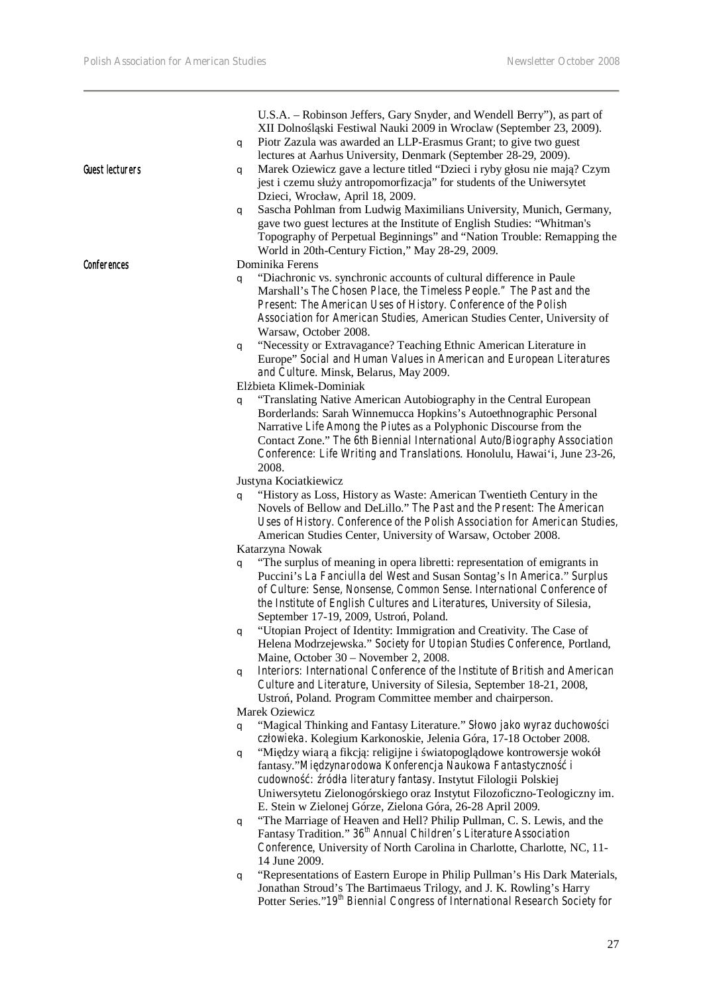$\overline{\phantom{a}}$ 

| Guest lecturers | U.S.A. - Robinson Jeffers, Gary Snyder, and Wendell Berry"), as part of<br>XII Dolno 1 ski Festiwal Nauki 2009 in Wroclaw (September 23, 2009).<br>Piotr Zazula was awarded an LLP-Erasmus Grant; to give two guest<br>q<br>lectures at Aarhus University, Denmark (September 28-29, 2009).<br>Marek Oziewicz gave a lecture titled "Dzieci i ryby głosu nie maj ? Czym<br>q<br>jest i czemu słu y antropomorfizacja" for students of the Uniwersytet<br>Dzieci, Wrocław, April 18, 2009.<br>Sascha Pohlman from Ludwig Maximilians University, Munich, Germany,<br>q<br>gave two guest lectures at the Institute of English Studies: "Whitman's<br>Topography of Perpetual Beginnings" and "Nation Trouble: Remapping the<br>World in 20th-Century Fiction," May 28-29, 2009. |
|-----------------|--------------------------------------------------------------------------------------------------------------------------------------------------------------------------------------------------------------------------------------------------------------------------------------------------------------------------------------------------------------------------------------------------------------------------------------------------------------------------------------------------------------------------------------------------------------------------------------------------------------------------------------------------------------------------------------------------------------------------------------------------------------------------------|
| Conferences     | Dominika Ferens<br>"Diachronic vs. synchronic accounts of cultural difference in Paule<br>q<br>Marshall's The Chosen Place, the Timeless People." The Past and the<br>Present: The American Uses of History. Conference of the Polish<br>Association for American Studies, American Studies Center, University of<br>Warsaw, October 2008.<br>"Necessity or Extravagance? Teaching Ethnic American Literature in<br>q<br>Europe" Social and Human Values in American and European Literatures<br>and Culture. Minsk, Belarus, May 2009.                                                                                                                                                                                                                                        |
|                 | El bieta Klimek-Dominiak<br>"Translating Native American Autobiography in the Central European<br>q<br>Borderlands: Sarah Winnemucca Hopkins's Autoethnographic Personal<br>Narrative Life Among the Piutes as a Polyphonic Discourse from the<br>Contact Zone." The 6th Biennial International Auto/Biography Association<br>Conference: Life Writing and Translations. Honolulu, Hawai'i, June 23-26,<br>2008.<br>Justyna Kociatkiewicz<br>"History as Loss, History as Waste: American Twentieth Century in the<br>q<br>Novels of Bellow and DeLillo." The Past and the Present: The American                                                                                                                                                                               |
|                 | Uses of History. Conference of the Polish Association for American Studies,<br>American Studies Center, University of Warsaw, October 2008.<br>Katarzyna Nowak<br>"The surplus of meaning in opera libretti: representation of emigrants in<br>q<br>Puccini's La Fanciulla del West and Susan Sontag's In America." Surplus<br>of Culture: Sense, Nonsense, Common Sense. International Conference of<br>the Institute of English Cultures and Literatures, University of Silesia,                                                                                                                                                                                                                                                                                             |
|                 | September 17-19, 2009, Ustro, Poland.<br>"Utopian Project of Identity: Immigration and Creativity. The Case of<br>q<br>Helena Modrzejewska." Society for Utopian Studies Conference, Portland,<br>Maine, October 30 – November 2, 2008.<br>Interiors: International Conference of the Institute of British and American<br>q                                                                                                                                                                                                                                                                                                                                                                                                                                                   |
|                 | Culture and Literature, University of Silesia, September 18-21, 2008,<br>Ustro, Poland. Program Committee member and chairperson.<br>Marek Oziewicz                                                                                                                                                                                                                                                                                                                                                                                                                                                                                                                                                                                                                            |
|                 | "Magical Thinking and Fantasy Literature." Słowo jako wyraz duchowo ci<br>q<br>człowieka. Kolegium Karkonoskie, Jelenia Góra, 17-18 October 2008.<br>"Mi dzy wiar a fikcj : religijne i wiatopogl dowe kontrowersje wokół<br>q<br>fantasy."Mi dzynarodowa Konferencja Naukowa Fantastyczno<br>$\overline{i}$<br>cudowno : ródła literatury fantasy. Instytut Filologii Polskiej<br>Uniwersytetu Zielonogórskiego oraz Instytut Filozoficzno-Teologiczny im.<br>E. Stein w Zielonej Górze, Zielona Góra, 26-28 April 2009.                                                                                                                                                                                                                                                      |
|                 | "The Marriage of Heaven and Hell? Philip Pullman, C. S. Lewis, and the<br>q<br>Fantasy Tradition." 36 <sup>th</sup> Annual Children's Literature Association<br>Conference, University of North Carolina in Charlotte, Charlotte, NC, 11-<br>14 June 2009.                                                                                                                                                                                                                                                                                                                                                                                                                                                                                                                     |
|                 | "Representations of Eastern Europe in Philip Pullman's His Dark Materials,<br>q<br>Jonathan Stroud's The Bartimaeus Trilogy, and J. K. Rowling's Harry<br>Potter Series." 19 <sup>th</sup> Biennial Congress of International Research Society for                                                                                                                                                                                                                                                                                                                                                                                                                                                                                                                             |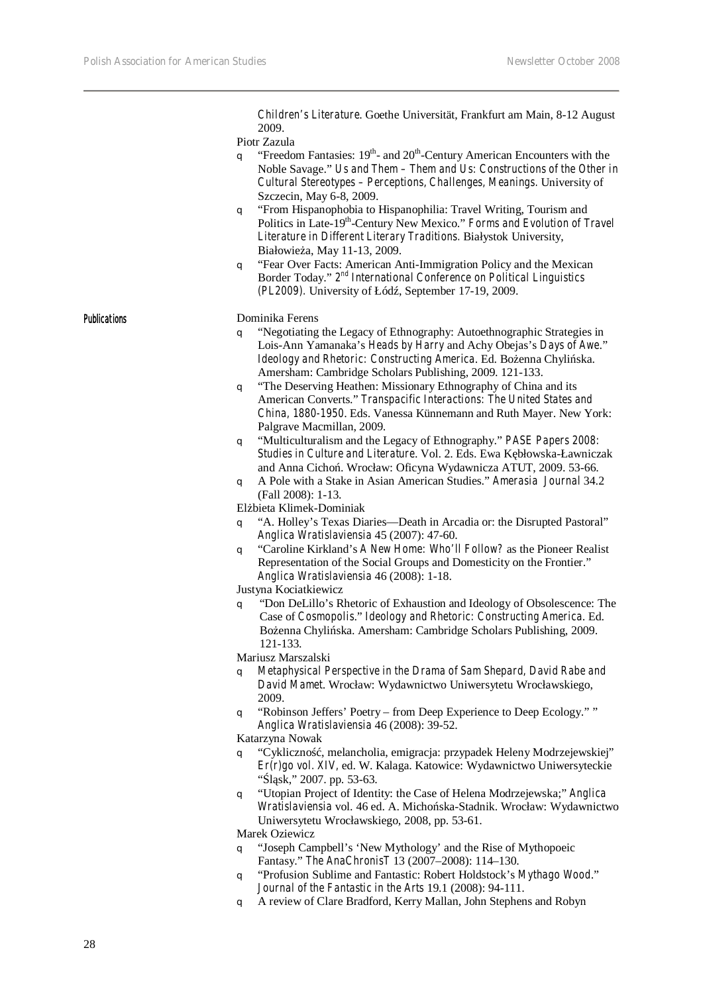*Children's Literature*. Goethe Universität, Frankfurt am Main, 8-12 August 2009.

#### Piotr Zazula

- $q$  "Freedom Fantasies:  $19<sup>th</sup>$  and  $20<sup>th</sup>$ -Century American Encounters with the Noble Savage." *Us and Them – Them and Us: Constructions of the Other in Cultural Stereotypes – Perceptions, Challenges, Meanings.* University of Szczecin, May 6-8, 2009.
- q "From Hispanophobia to Hispanophilia: Travel Writing, Tourism and Politics in Late-19<sup>th</sup>-Century New Mexico." Forms and Evolution of Travel *Literature in Different Literary Traditions.* Białystok University, Białowie a, May 11-13, 2009.
- q "Fear Over Facts: American Anti-Immigration Policy and the Mexican Border Today." *2nd International Conference on Political Linguistics (PL2009).* University of Łód, September 17-19, 2009.

#### Publications Dominika Ferens

- q "Negotiating the Legacy of Ethnography: Autoethnographic Strategies in Lois-Ann Yamanaka's *Heads by Harry* and Achy Obejas's *Days of Awe*." *Ideology and Rhetoric: Constructing America.* Ed. Bo enna Chyli ska. Amersham: Cambridge Scholars Publishing, 2009. 121-133.
- q "The Deserving Heathen: Missionary Ethnography of China and its American Converts." *Transpacific Interactions: The United States and China, 1880-1950*. Eds. Vanessa Künnemann and Ruth Mayer. New York: Palgrave Macmillan, 2009.
- q "Multiculturalism and the Legacy of Ethnography." *PASE Papers 2008: Studies in Culture and Literature*. Vol. 2. Eds. Ewa Kębłowska-Ławniczak and Anna Cicho. Wrocław: Oficyna Wydawnicza ATUT, 2009. 53-66.
- q A Pole with a Stake in Asian American Studies." *Amerasia Journal* 34.2 (Fall 2008): 1-13.

El bieta Klimek-Dominiak

- q "A. Holley's Texas Diaries—Death in Arcadia or: the Disrupted Pastoral" *Anglica Wratislaviensia* 45 (2007): 47-60.
- q "Caroline Kirkland's *A New Home: Who'll Follow?* as the Pioneer Realist Representation of the Social Groups and Domesticity on the Frontier." *Anglica Wratislaviensia* 46 (2008): 1-18.

Justyna Kociatkiewicz

q "Don DeLillo's Rhetoric of Exhaustion and Ideology of Obsolescence: The Case of *Cosmopolis*." *Ideology and Rhetoric: Constructing America*. Ed. Bo enna Chyli ska. Amersham: Cambridge Scholars Publishing, 2009. 121-133.

Mariusz Marszalski

- q *Metaphysical Perspective in the Drama of Sam Shepard, David Rabe and David Mamet*. Wrocław: Wydawnictwo Uniwersytetu Wrocławskiego, 2009.
- q "Robinson Jeffers' Poetry from Deep Experience to Deep Ecology." " *Anglica Wratislaviensia* 46 (2008): 39-52.

Katarzyna Nowak

- q "Cykliczno, melancholia, emigracja: przypadek Heleny Modrzejewskiej" *Er(r)go vol. XIV,* ed. W. Kalaga. Katowice: Wydawnictwo Uniwersyteckie " $1$  sk," 2007. pp. 53-63.
- q "Utopian Project of Identity: the Case of Helena Modrzejewska;" *Anglica Wratislaviensia* vol. 46 ed. A. Micho ska-Stadnik. Wrocław: Wydawnictwo Uniwersytetu Wrocławskiego, 2008, pp. 53-61.

Marek Oziewicz

- q "Joseph Campbell's 'New Mythology' and the Rise of Mythopoeic Fantasy." *The AnaChronisT* 13 (2007–2008): 114–130.
- q "Profusion Sublime and Fantastic: Robert Holdstock's *Mythago Wood*." *Journal of the Fantastic in the Arts* 19.1 (2008): 94-111.
- q A review of Clare Bradford, Kerry Mallan, John Stephens and Robyn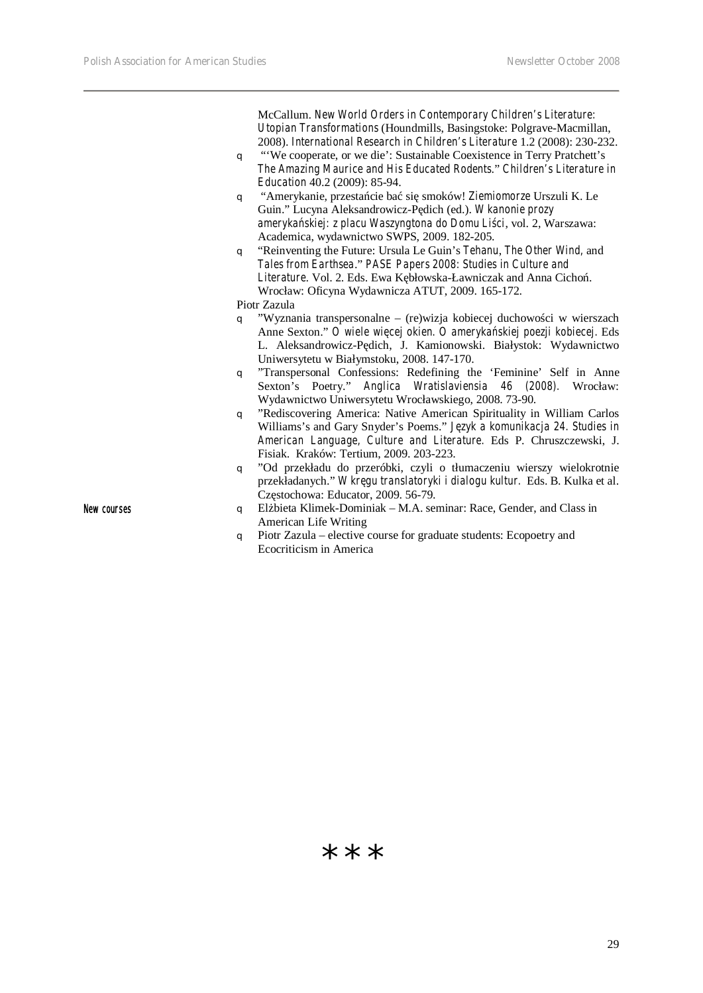McCallum. *New World Orders in Contemporary Children's Literature: Utopian Transformations* (Houndmills, Basingstoke: Polgrave-Macmillan, 2008). *International Research in Children's Literature* 1.2 (2008): 230-232. q "'We cooperate, or we die': Sustainable Coexistence in Terry Pratchett's *The Amazing Maurice and His Educated Rodents*." *Children's Literature in Education* 40.2 (2009): 85-94. q "Amerykanie, przestańcie bać się smoków! *Ziemiomorze* Urszuli K. Le Guin." Lucyna Aleksandrowicz-P dich (ed.). *W kanonie prozy ameryka skiej: z placu Waszyngtona do Domu Li ci*, vol. 2, Warszawa: Academica, wydawnictwo SWPS, 2009. 182-205. q "Reinventing the Future: Ursula Le Guin's *Tehanu*, *The Other Wind,* and *Tales from Earthsea*." *PASE Papers 2008: Studies in Culture and*  Literature. Vol. 2. Eds. Ewa K błowska-Ławniczak and Anna Cicho. Wrocław: Oficyna Wydawnicza ATUT, 2009. 165-172. Piotr Zazula  $q$  "Wyznania transpersonalne – (re)wizja kobiecej duchowo ci w wierszach Anne Sexton." O wiele wi cej okien. O ameryka skiej poezji kobiecej. Eds L. Aleksandrowicz-P dich, J. Kamionowski. Białystok: Wydawnictwo Uniwersytetu w Białymstoku, 2008. 147-170. q "Transpersonal Confessions: Redefining the 'Feminine' Self in Anne Sexton's Poetry." *Anglica Wratislaviensia 46 (2008).* Wrocław: Wydawnictwo Uniwersytetu Wrocławskiego, 2008. 73-90. q "Rediscovering America: Native American Spirituality in William Carlos

Williams's and Gary Snyder's Poems." *J zyk a komunikacja 24. Studies in American Language, Culture and Literature.* Eds P. Chruszczewski, J. Fisiak.Kraków: Tertium, 2009. 203-223.

q "Od przekładu do przeróbki, czyli o tłumaczeniu wierszy wielokrotnie przekładanych." *W kręgu translatoryki i dialogu kultur.* Eds. B. Kulka et al. Cz stochowa: Educator, 2009. 56-79.

- New courses and Class in Grader, and Class in Grader, and Class in Grader, and Class in American Life Writing
	- q Piotr Zazula elective course for graduate students: Ecopoetry and Ecocriticism in America

**\* \* \***